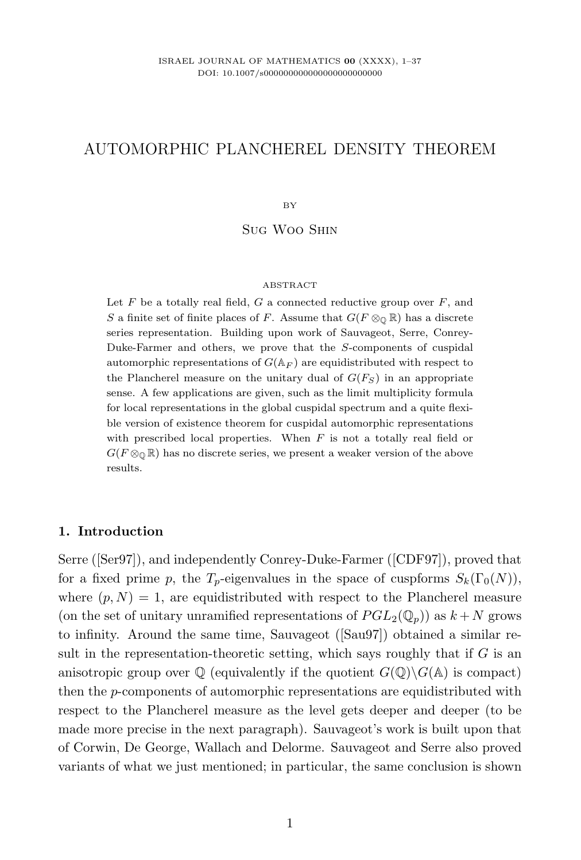# AUTOMORPHIC PLANCHEREL DENSITY THEOREM

BY

Sug Woo Shin

#### **ABSTRACT**

Let  $F$  be a totally real field,  $G$  a connected reductive group over  $F$ , and S a finite set of finite places of F. Assume that  $G(F \otimes_{\mathbb{Q}} \mathbb{R})$  has a discrete series representation. Building upon work of Sauvageot, Serre, Conrey-Duke-Farmer and others, we prove that the S-components of cuspidal automorphic representations of  $G(\mathbb{A}_F)$  are equidistributed with respect to the Plancherel measure on the unitary dual of  $G(F<sub>S</sub>)$  in an appropriate sense. A few applications are given, such as the limit multiplicity formula for local representations in the global cuspidal spectrum and a quite flexible version of existence theorem for cuspidal automorphic representations with prescribed local properties. When  $F$  is not a totally real field or  $G(F \otimes_{\mathbb{Q}} \mathbb{R})$  has no discrete series, we present a weaker version of the above results.

### 1. Introduction

Serre ([Ser97]), and independently Conrey-Duke-Farmer ([CDF97]), proved that for a fixed prime p, the  $T_p$ -eigenvalues in the space of cuspforms  $S_k(\Gamma_0(N)),$ where  $(p, N) = 1$ , are equidistributed with respect to the Plancherel measure (on the set of unitary unramified representations of  $PGL_2(\mathbb{Q}_p)$ ) as  $k + N$  grows to infinity. Around the same time, Sauvageot ([Sau97]) obtained a similar result in the representation-theoretic setting, which says roughly that if  $G$  is an anisotropic group over  $\mathbb Q$  (equivalently if the quotient  $G(\mathbb Q)\backslash G(\mathbb A)$  is compact) then the p-components of automorphic representations are equidistributed with respect to the Plancherel measure as the level gets deeper and deeper (to be made more precise in the next paragraph). Sauvageot's work is built upon that of Corwin, De George, Wallach and Delorme. Sauvageot and Serre also proved variants of what we just mentioned; in particular, the same conclusion is shown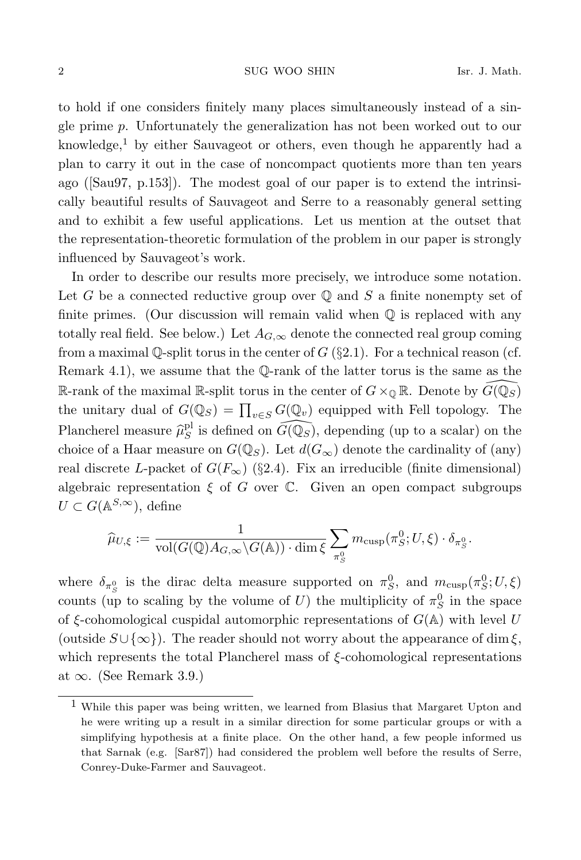to hold if one considers finitely many places simultaneously instead of a single prime p. Unfortunately the generalization has not been worked out to our knowledge,<sup>1</sup> by either Sauvageot or others, even though he apparently had a plan to carry it out in the case of noncompact quotients more than ten years ago ([Sau97, p.153]). The modest goal of our paper is to extend the intrinsically beautiful results of Sauvageot and Serre to a reasonably general setting and to exhibit a few useful applications. Let us mention at the outset that the representation-theoretic formulation of the problem in our paper is strongly influenced by Sauvageot's work.

In order to describe our results more precisely, we introduce some notation. Let G be a connected reductive group over  $\mathbb Q$  and S a finite nonempty set of finite primes. (Our discussion will remain valid when  $\mathbb Q$  is replaced with any totally real field. See below.) Let  $A_{G,\infty}$  denote the connected real group coming from a maximal Q-split torus in the center of  $G$  (§2.1). For a technical reason (cf. Remark 4.1), we assume that the Q-rank of the latter torus is the same as the R-rank of the maximal R-split torus in the center of  $G\times_{\mathbb{Q}}\mathbb{R}$ . Denote by  $G(\mathbb{Q}_S)$ the unitary dual of  $G(\mathbb{Q}_S) = \prod_{v \in S} G(\mathbb{Q}_v)$  equipped with Fell topology. The Plancherel measure  $\hat{\mu}_S^{\text{pl}}$  is defined on  $\widehat{G(\mathbb{Q}_S)}$ , depending (up to a scalar) on the choice of a Haar measure on  $G(\mathbb{Q}_S)$ . Let  $d(G_{\infty})$  denote the cardinality of (any) real discrete L-packet of  $G(F_{\infty})$  (§2.4). Fix an irreducible (finite dimensional) algebraic representation  $\xi$  of G over  $\mathbb C$ . Given an open compact subgroups  $U \subset G(\mathbb{A}^{S,\infty})$ , define

$$
\widehat{\mu}_{U,\xi} := \frac{1}{\text{vol}(G(\mathbb{Q})A_{G,\infty}\backslash G(\mathbb{A})) \cdot \dim \xi} \sum_{\pi_S^0} m_{\text{cusp}}(\pi_S^0; U, \xi) \cdot \delta_{\pi_S^0}.
$$

where  $\delta_{\pi_S^0}$  is the dirac delta measure supported on  $\pi_S^0$ , and  $m_{\text{cusp}}(\pi_S^0; U, \xi)$ counts (up to scaling by the volume of U) the multiplicity of  $\pi_S^0$  in the space of  $\xi$ -cohomological cuspidal automorphic representations of  $G(\mathbb{A})$  with level U (outside  $S \cup \{\infty\}$ ). The reader should not worry about the appearance of dim  $\xi$ , which represents the total Plancherel mass of  $\xi$ -cohomological representations at  $\infty$ . (See Remark 3.9.)

<sup>1</sup> While this paper was being written, we learned from Blasius that Margaret Upton and he were writing up a result in a similar direction for some particular groups or with a simplifying hypothesis at a finite place. On the other hand, a few people informed us that Sarnak (e.g. [Sar87]) had considered the problem well before the results of Serre, Conrey-Duke-Farmer and Sauvageot.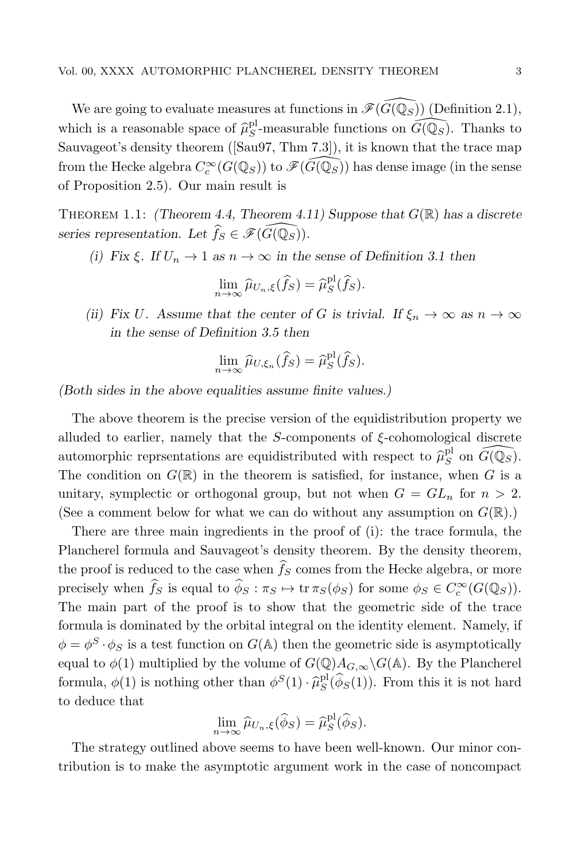We are going to evaluate measures at functions in  $\mathscr{F}(\widehat{G}(\mathbb{Q}_{S}))$  (Definition 2.1), which is a reasonable space of  $\hat{\mu}_S^{\text{pl}}$ -measurable functions on  $\widehat{G(\mathbb{Q}_S)}$ . Thanks to Sauvageot's density theorem ([Sau97, Thm 7.3]), it is known that the trace map from the Hecke algebra  $C_c^{\infty}(G(\mathbb{Q}_S))$  to  $\mathscr{F}(\widehat{G(\mathbb{Q}_S)})$  has dense image (in the sense of Proposition 2.5). Our main result is

THEOREM 1.1: (Theorem 4.4, Theorem 4.11) Suppose that  $G(\mathbb{R})$  has a discrete series representation. Let  $\widehat{f}_S \in \mathscr{F}(\widehat{G(\mathbb{Q}_S)})$ .

(i) Fix  $\xi$ . If  $U_n \to 1$  as  $n \to \infty$  in the sense of Definition 3.1 then

$$
\lim_{n\to\infty}\widehat{\mu}_{U_n,\xi}(\widehat{f}_S)=\widehat{\mu}_S^{\text{pl}}(\widehat{f}_S).
$$

(ii) Fix U. Assume that the center of G is trivial. If  $\xi_n \to \infty$  as  $n \to \infty$ in the sense of Definition 3.5 then

$$
\lim_{n\to\infty}\widehat{\mu}_{U,\xi_n}(\widehat{f}_S)=\widehat{\mu}_S^{\text{pl}}(\widehat{f}_S).
$$

(Both sides in the above equalities assume finite values.)

The above theorem is the precise version of the equidistribution property we alluded to earlier, namely that the  $S$ -components of  $\xi$ -cohomological discrete automorphic reprsentations are equidistributed with respect to  $\widehat{\mu}_{S}^{\text{pl}}$  on  $\widehat{G(\mathbb{Q}_S)}$ . The condition on  $G(\mathbb{R})$  in the theorem is satisfied, for instance, when G is a unitary, symplectic or orthogonal group, but not when  $G = GL_n$  for  $n > 2$ . (See a comment below for what we can do without any assumption on  $G(\mathbb{R})$ .)

There are three main ingredients in the proof of (i): the trace formula, the Plancherel formula and Sauvageot's density theorem. By the density theorem, the proof is reduced to the case when  $\hat{f}_S$  comes from the Hecke algebra, or more precisely when  $\widehat{f}_S$  is equal to  $\widehat{\phi}_S : \pi_S \mapsto \text{tr } \pi_S(\phi_S)$  for some  $\phi_S \in C_c^{\infty}(G(\mathbb{Q}_S))$ . The main part of the proof is to show that the geometric side of the trace formula is dominated by the orbital integral on the identity element. Namely, if  $\phi = \phi^S \cdot \phi_S$  is a test function on  $G(A)$  then the geometric side is asymptotically equal to  $\phi(1)$  multiplied by the volume of  $G(\mathbb{Q})A_{G,\infty}\backslash G(\mathbb{A})$ . By the Plancherel formula,  $\phi(1)$  is nothing other than  $\phi^S(1) \cdot \hat{\mu}_S^{\text{pl}}(\hat{\phi}_S(1))$ . From this it is not hard to deduce that

$$
\lim_{n\to\infty}\widehat{\mu}_{U_n,\xi}(\widehat{\phi}_S)=\widehat{\mu}_S^{\text{pl}}(\widehat{\phi}_S).
$$

The strategy outlined above seems to have been well-known. Our minor contribution is to make the asymptotic argument work in the case of noncompact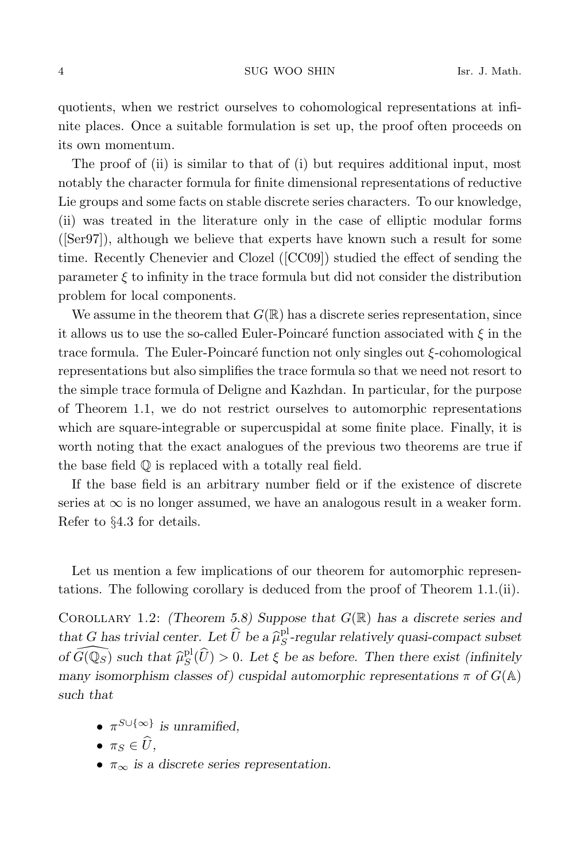quotients, when we restrict ourselves to cohomological representations at infinite places. Once a suitable formulation is set up, the proof often proceeds on its own momentum.

The proof of (ii) is similar to that of (i) but requires additional input, most notably the character formula for finite dimensional representations of reductive Lie groups and some facts on stable discrete series characters. To our knowledge, (ii) was treated in the literature only in the case of elliptic modular forms ([Ser97]), although we believe that experts have known such a result for some time. Recently Chenevier and Clozel ([CC09]) studied the effect of sending the parameter  $\xi$  to infinity in the trace formula but did not consider the distribution problem for local components.

We assume in the theorem that  $G(\mathbb{R})$  has a discrete series representation, since it allows us to use the so-called Euler-Poincaré function associated with  $\xi$  in the trace formula. The Euler-Poincaré function not only singles out  $\xi$ -cohomological representations but also simplifies the trace formula so that we need not resort to the simple trace formula of Deligne and Kazhdan. In particular, for the purpose of Theorem 1.1, we do not restrict ourselves to automorphic representations which are square-integrable or supercuspidal at some finite place. Finally, it is worth noting that the exact analogues of the previous two theorems are true if the base field Q is replaced with a totally real field.

If the base field is an arbitrary number field or if the existence of discrete series at  $\infty$  is no longer assumed, we have an analogous result in a weaker form. Refer to §4.3 for details.

Let us mention a few implications of our theorem for automorphic representations. The following corollary is deduced from the proof of Theorem 1.1.(ii).

COROLLARY 1.2: (Theorem 5.8) Suppose that  $G(\mathbb{R})$  has a discrete series and that G has trivial center. Let  $\widehat{U}$  be a  $\widehat{\mu}_{S}^{\text{pl}}$ -regular relatively quasi-compact subset of  $\widehat{G(\mathbb{Q}_S)}$  such that  $\widehat{\mu}_S^{\text{pl}}(\widehat{U}) > 0$ . Let  $\xi$  be as before. Then there exist (infinitely many isomorphism classes of) cuspidal automorphic representations  $\pi$  of  $G(\mathbb{A})$ such that

- $\pi^{S \cup \{\infty\}}$  is unramified,
- $\pi_S \in \widehat{U}$ ,
- $\pi_{\infty}$  is a discrete series representation.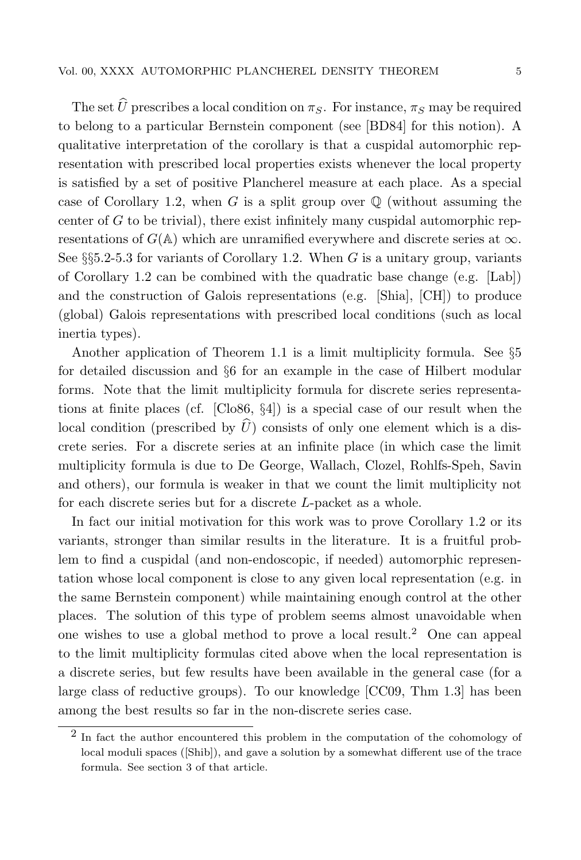The set  $\hat{U}$  prescribes a local condition on  $\pi_{S}$ . For instance,  $\pi_{S}$  may be required to belong to a particular Bernstein component (see [BD84] for this notion). A qualitative interpretation of the corollary is that a cuspidal automorphic representation with prescribed local properties exists whenever the local property is satisfied by a set of positive Plancherel measure at each place. As a special case of Corollary 1.2, when G is a split group over  $\mathbb Q$  (without assuming the center of  $G$  to be trivial), there exist infinitely many cuspidal automorphic representations of  $G(\mathbb{A})$  which are unramified everywhere and discrete series at  $\infty$ . See  $\S$ §5.2-5.3 for variants of Corollary 1.2. When G is a unitary group, variants of Corollary 1.2 can be combined with the quadratic base change (e.g. [Lab]) and the construction of Galois representations (e.g. [Shia], [CH]) to produce (global) Galois representations with prescribed local conditions (such as local inertia types).

Another application of Theorem 1.1 is a limit multiplicity formula. See §5 for detailed discussion and §6 for an example in the case of Hilbert modular forms. Note that the limit multiplicity formula for discrete series representations at finite places (cf. [Clo86, §4]) is a special case of our result when the local condition (prescribed by  $\widehat{U}$ ) consists of only one element which is a discrete series. For a discrete series at an infinite place (in which case the limit multiplicity formula is due to De George, Wallach, Clozel, Rohlfs-Speh, Savin and others), our formula is weaker in that we count the limit multiplicity not for each discrete series but for a discrete L-packet as a whole.

In fact our initial motivation for this work was to prove Corollary 1.2 or its variants, stronger than similar results in the literature. It is a fruitful problem to find a cuspidal (and non-endoscopic, if needed) automorphic representation whose local component is close to any given local representation (e.g. in the same Bernstein component) while maintaining enough control at the other places. The solution of this type of problem seems almost unavoidable when one wishes to use a global method to prove a local result.<sup>2</sup> One can appeal to the limit multiplicity formulas cited above when the local representation is a discrete series, but few results have been available in the general case (for a large class of reductive groups). To our knowledge [CC09, Thm 1.3] has been among the best results so far in the non-discrete series case.

<sup>&</sup>lt;sup>2</sup> In fact the author encountered this problem in the computation of the cohomology of local moduli spaces ([Shib]), and gave a solution by a somewhat different use of the trace formula. See section 3 of that article.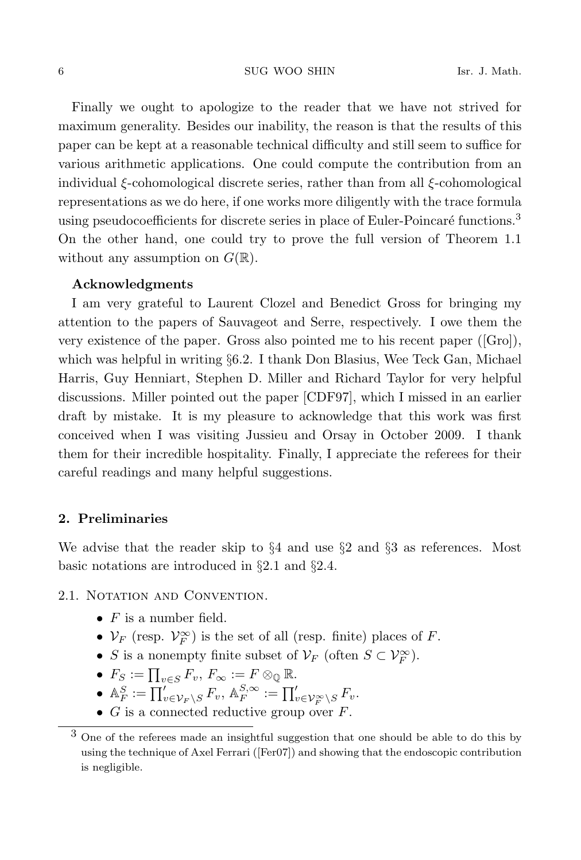Finally we ought to apologize to the reader that we have not strived for maximum generality. Besides our inability, the reason is that the results of this paper can be kept at a reasonable technical difficulty and still seem to suffice for various arithmetic applications. One could compute the contribution from an individual ξ-cohomological discrete series, rather than from all ξ-cohomological representations as we do here, if one works more diligently with the trace formula using pseudocoefficients for discrete series in place of Euler-Poincaré functions.<sup>3</sup> On the other hand, one could try to prove the full version of Theorem 1.1 without any assumption on  $G(\mathbb{R})$ .

### Acknowledgments

I am very grateful to Laurent Clozel and Benedict Gross for bringing my attention to the papers of Sauvageot and Serre, respectively. I owe them the very existence of the paper. Gross also pointed me to his recent paper ([Gro]), which was helpful in writing §6.2. I thank Don Blasius, Wee Teck Gan, Michael Harris, Guy Henniart, Stephen D. Miller and Richard Taylor for very helpful discussions. Miller pointed out the paper [CDF97], which I missed in an earlier draft by mistake. It is my pleasure to acknowledge that this work was first conceived when I was visiting Jussieu and Orsay in October 2009. I thank them for their incredible hospitality. Finally, I appreciate the referees for their careful readings and many helpful suggestions.

### 2. Preliminaries

We advise that the reader skip to  $\S 4$  and use  $\S 2$  and  $\S 3$  as references. Most basic notations are introduced in §2.1 and §2.4.

## 2.1. NOTATION AND CONVENTION.

- $F$  is a number field.
- $\mathcal{V}_F$  (resp.  $\mathcal{V}_F^{\infty}$ ) is the set of all (resp. finite) places of F.
- S is a nonempty finite subset of  $\mathcal{V}_F$  (often  $S \subset \mathcal{V}_F^{\infty}$ ).
- $F_S := \prod_{v \in S} F_v$ ,  $F_\infty := F \otimes_{\mathbb{Q}} \mathbb{R}$ .
- $\mathbb{A}_F^S := \prod_{v \in \mathcal{V}_F \backslash S}' F_v, \, \mathbb{A}_F^{S, \infty} := \prod_{v \in \mathcal{V}_F^\infty \backslash S}' F_v.$
- $G$  is a connected reductive group over  $F$ .

<sup>3</sup> One of the referees made an insightful suggestion that one should be able to do this by using the technique of Axel Ferrari ([Fer07]) and showing that the endoscopic contribution is negligible.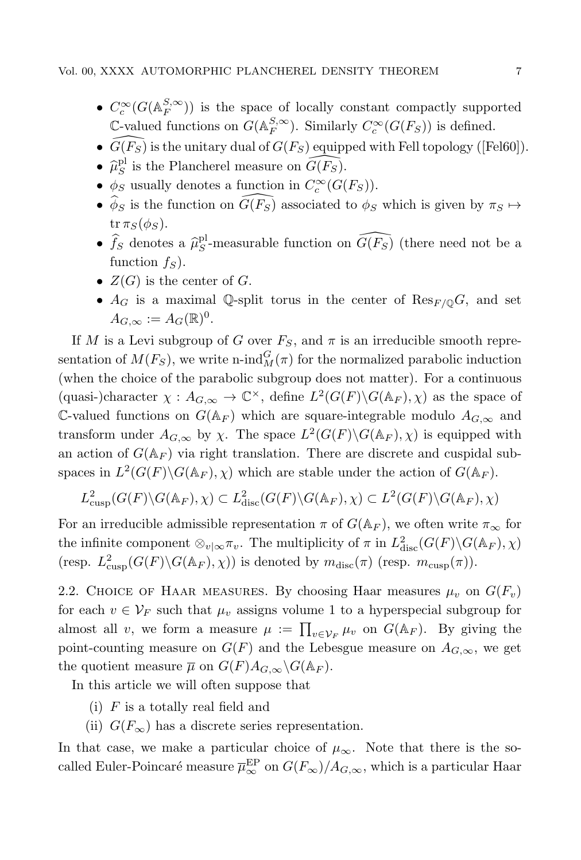- $C_c^{\infty}(G(\mathbb{A}_F^{S,\infty}))$  is the space of locally constant compactly supported  $\mathbb{C}\text{-valued functions on } G(\mathbb{A}_F^{S,\infty})$ . Similarly  $C_c^{\infty}(G(F_S))$  is defined.
- $\widehat{G}(F_S)$  is the unitary dual of  $G(F_S)$  equipped with Fell topology ([Fel60]).
- $\widehat{\mu}_{S}^{\text{pl}}$  is the Plancherel measure on  $\widehat{G(F_S)}$ .
- $\phi_S$  usually denotes a function in  $C_c^{\infty}(G(F_S))$ .
- $\phi_S$  is the function on  $G(F_S)$  associated to  $\phi_S$  which is given by  $\pi_S \mapsto$  $tr \pi_S(\phi_S)$ .
- $\hat{f}_S$  denotes a  $\hat{\mu}_S^{\text{pl}}$ -measurable function on  $\widehat{G(F_S)}$  (there need not be a function  $f_S$ ).
- $Z(G)$  is the center of G.
- $A_G$  is a maximal Q-split torus in the center of  $\text{Res}_{F/\mathbb{Q}}G$ , and set  $A_{G,\infty} := A_G(\mathbb{R})^0.$

If M is a Levi subgroup of G over  $F_S$ , and  $\pi$  is an irreducible smooth representation of  $M(F_S)$ , we write n-ind $_M^G(\pi)$  for the normalized parabolic induction (when the choice of the parabolic subgroup does not matter). For a continuous (quasi-)character  $\chi : A_{G,\infty} \to \mathbb{C}^{\times}$ , define  $L^2(G(F) \backslash G(\mathbb{A}_F), \chi)$  as the space of C-valued functions on  $G(\mathbb{A}_F)$  which are square-integrable modulo  $A_{G,\infty}$  and transform under  $A_{G,\infty}$  by  $\chi$ . The space  $L^2(G(F) \backslash G(\mathbb{A}_F), \chi)$  is equipped with an action of  $G(\mathbb{A}_F)$  via right translation. There are discrete and cuspidal subspaces in  $L^2(G(F)\backslash G(\mathbb{A}_F), \chi)$  which are stable under the action of  $G(\mathbb{A}_F)$ .

$$
L^2_{\text{cusp}}(G(F)\backslash G(\mathbb{A}_F),\chi) \subset L^2_{\text{disc}}(G(F)\backslash G(\mathbb{A}_F),\chi) \subset L^2(G(F)\backslash G(\mathbb{A}_F),\chi)
$$

For an irreducible admissible representation  $\pi$  of  $G(\mathbb{A}_F)$ , we often write  $\pi_{\infty}$  for the infinite component  $\otimes_{v|\infty}\pi_v$ . The multiplicity of  $\pi$  in  $L^2_{disc}(G(F)\backslash G(\mathbb{A}_F),\chi)$ (resp.  $L^2_{\text{cusp}}(G(F) \backslash G(\mathbb{A}_F), \chi)$ ) is denoted by  $m_{\text{disc}}(\pi)$  (resp.  $m_{\text{cusp}}(\pi)$ ).

2.2. CHOICE OF HAAR MEASURES. By choosing Haar measures  $\mu_v$  on  $G(F_v)$ for each  $v \in V_F$  such that  $\mu_v$  assigns volume 1 to a hyperspecial subgroup for almost all v, we form a measure  $\mu := \prod_{v \in \mathcal{V}_F} \mu_v$  on  $G(\mathbb{A}_F)$ . By giving the point-counting measure on  $G(F)$  and the Lebesgue measure on  $A_{G,\infty}$ , we get the quotient measure  $\overline{\mu}$  on  $G(F)A_{G,\infty}\backslash G(\mathbb{A}_F)$ .

In this article we will often suppose that

- (i)  $F$  is a totally real field and
- (ii)  $G(F_{\infty})$  has a discrete series representation.

In that case, we make a particular choice of  $\mu_{\infty}$ . Note that there is the socalled Euler-Poincaré measure  $\overline{\mu}_{\infty}^{\text{EP}}$  on  $G(F_{\infty})/A_{G,\infty}$ , which is a particular Haar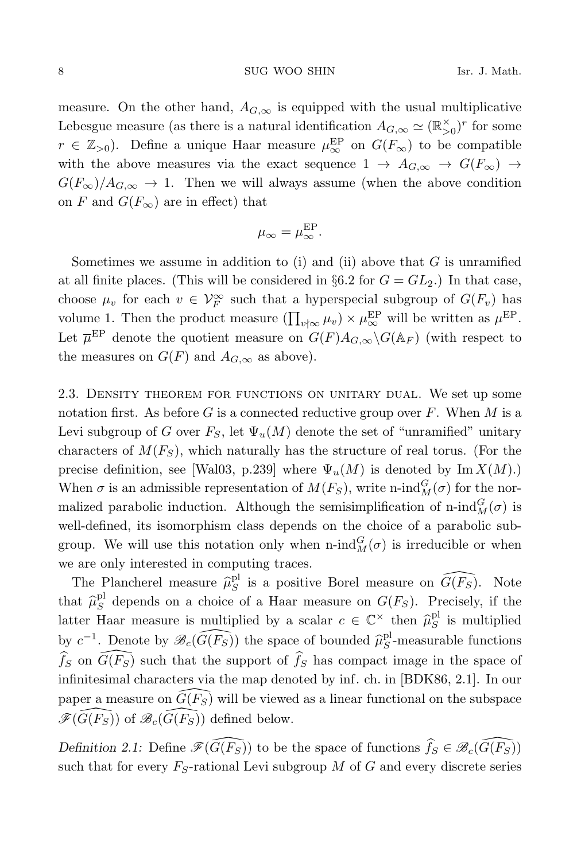measure. On the other hand,  $A_{G,\infty}$  is equipped with the usual multiplicative Lebesgue measure (as there is a natural identification  $A_{G,\infty} \simeq (\mathbb{R}_{>0}^{\times})^r$  for some  $r \in \mathbb{Z}_{>0}$ ). Define a unique Haar measure  $\mu_{\infty}^{\text{EP}}$  on  $G(F_{\infty})$  to be compatible with the above measures via the exact sequence  $1 \rightarrow A_{G,\infty} \rightarrow G(F_{\infty}) \rightarrow$  $G(F_{\infty})/A_{G,\infty} \to 1$ . Then we will always assume (when the above condition on F and  $G(F_{\infty})$  are in effect) that

$$
\mu_{\infty} = \mu_{\infty}^{\rm EP}.
$$

Sometimes we assume in addition to (i) and (ii) above that  $G$  is unramified at all finite places. (This will be considered in §6.2 for  $G = GL_2$ .) In that case, choose  $\mu_v$  for each  $v \in V_F^{\infty}$  such that a hyperspecial subgroup of  $G(F_v)$  has volume 1. Then the product measure  $(\prod_{v \nmid \infty} \mu_v) \times \mu_{\infty}^{\text{EP}}$  will be written as  $\mu^{\text{EP}}$ . Let  $\overline{\mu}^{\text{EP}}$  denote the quotient measure on  $G(F)A_{G,\infty}\backslash G(\mathbb{A}_F)$  (with respect to the measures on  $G(F)$  and  $A_{G,\infty}$  as above).

2.3. Density theorem for functions on unitary dual. We set up some notation first. As before  $G$  is a connected reductive group over  $F$ . When  $M$  is a Levi subgroup of G over  $F_S$ , let  $\Psi_u(M)$  denote the set of "unramified" unitary characters of  $M(F<sub>S</sub>)$ , which naturally has the structure of real torus. (For the precise definition, see [Wal03, p.239] where  $\Psi_u(M)$  is denoted by Im  $X(M)$ .) When  $\sigma$  is an admissible representation of  $M(F_S)$ , write n-ind $_M^G(\sigma)$  for the normalized parabolic induction. Although the semisimplification of n-ind $_M^G(\sigma)$  is well-defined, its isomorphism class depends on the choice of a parabolic subgroup. We will use this notation only when  $\operatorname{n-ind}_{M}^{G}(\sigma)$  is irreducible or when we are only interested in computing traces.

The Plancherel measure  $\hat{\mu}_S^{\text{pl}}$  is a positive Borel measure on  $\widehat{G(F_S)}$ . Note that  $\hat{\mu}_S^{\text{pl}}$  depends on a choice of a Haar measure on  $G(F_S)$ . Precisely, if the latter Haar measure is multiplied by a scalar  $c \in \mathbb{C}^{\times}$  then  $\hat{\mu}_{S}^{\text{pl}}$  is multiplied by  $c^{-1}$ . Denote by  $\mathscr{B}_{c}(\widehat{G(F_S)})$  the space of bounded  $\widehat{\mu}_{S}^{pl}$ -measurable functions  $\widehat{f}_S$  on  $\widehat{G(F_S)}$  such that the support of  $\widehat{f}_S$  has compact image in the space of infinitesimal characters via the map denoted by inf. ch. in [BDK86, 2.1]. In our paper a measure on  $\widehat{G(F_S)}$  will be viewed as a linear functional on the subspace  $\mathscr{F}(\widehat{G(F_S)})$  of  $\mathscr{B}_c(\widehat{G(F_S)})$  defined below.

Definition 2.1: Define  $\mathscr{F}(\widehat{G(F_S)})$  to be the space of functions  $\widehat{f_S} \in \mathscr{B}_c(\widehat{G(F_S)})$ such that for every  $F_S$ -rational Levi subgroup M of G and every discrete series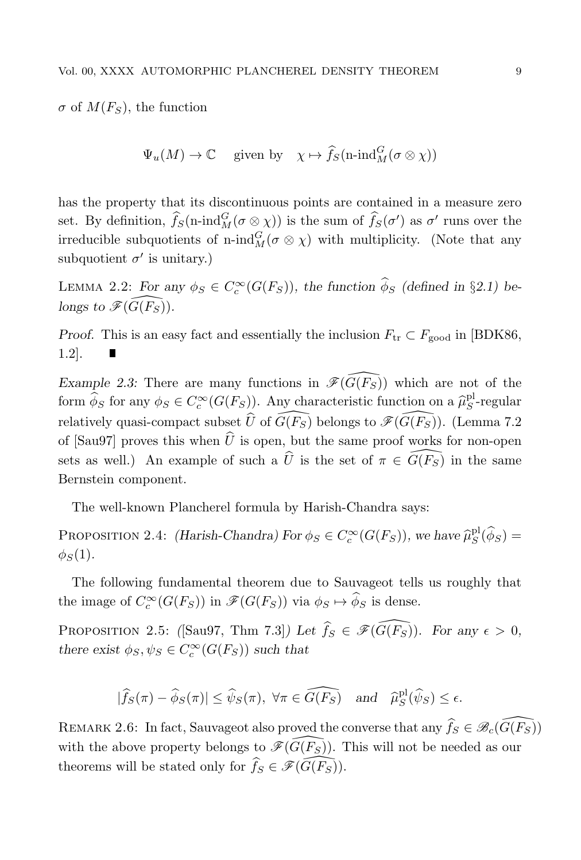$\sigma$  of  $M(F_s)$ , the function

$$
\Psi_u(M) \to \mathbb{C}
$$
 given by  $\chi \mapsto \widehat{f}_S(\text{n-ind}_M^G(\sigma \otimes \chi))$ 

has the property that its discontinuous points are contained in a measure zero set. By definition,  $\widehat{f}_S(n\text{-}\mathrm{ind}_M^G(\sigma\otimes \chi))$  is the sum of  $\widehat{f}_S(\sigma')$  as  $\sigma'$  runs over the irreducible subquotients of n-ind $_M^G(\sigma \otimes \chi)$  with multiplicity. (Note that any subquotient  $\sigma'$  is unitary.)

LEMMA 2.2: For any  $\phi_S \in C_c^{\infty}(G(F_S))$ , the function  $\hat{\phi}_S$  (defined in §2.1) belongs to  $\mathscr{F}(\widehat{G}(F_S))$ .

Proof. This is an easy fact and essentially the inclusion  $F_{tr} \subset F_{good}$  in [BDK86, 1.2].

Example 2.3: There are many functions in  $\mathscr{F}(\widehat{G(F_S)})$  which are not of the form  $\widehat{\phi}_S$  for any  $\phi_S \in C_c^{\infty}(G(F_S))$ . Any characteristic function on a  $\widehat{\mu}_S^{\text{pl}}$ -regular relatively quasi-compact subset  $\widehat{U}$  of  $\widehat{G(F_S)}$  belongs to  $\mathscr{F}(\widehat{G(F_S)})$ . (Lemma 7.2) of [Sau97] proves this when  $\hat{U}$  is open, but the same proof works for non-open sets as well.) An example of such a  $\hat{U}$  is the set of  $\pi \in \widehat{G(F_S)}$  in the same Bernstein component.

The well-known Plancherel formula by Harish-Chandra says:

PROPOSITION 2.4: (Harish-Chandra) For  $\phi_S \in C_c^{\infty}(G(F_S))$ , we have  $\hat{\mu}_S^{\text{pl}}(\hat{\phi}_S)$  =  $\phi_S(1)$ .

The following fundamental theorem due to Sauvageot tells us roughly that the image of  $C_c^{\infty}(G(F_S))$  in  $\mathscr{F}(G(F_S))$  via  $\phi_S \mapsto \widehat{\phi}_S$  is dense.

PROPOSITION 2.5: ([Sau97, Thm 7.3]) Let  $\widehat{f}_S \in \mathscr{F}(\widehat{G(F_S)})$ . For any  $\epsilon > 0$ , there exist  $\phi_S, \psi_S \in C_c^{\infty}(G(F_S))$  such that

$$
|\widehat{f}_S(\pi) - \widehat{\phi}_S(\pi)| \le \widehat{\psi}_S(\pi), \ \forall \pi \in \widehat{G(F_S)} \quad \text{and} \quad \widehat{\mu}_S^{\text{pl}}(\widehat{\psi}_S) \le \epsilon.
$$

REMARK 2.6: In fact, Sauvageot also proved the converse that any  $\widehat{f}_S \in \mathscr{B}_c(\widehat{G(F_S)})$ with the above property belongs to  $\mathscr{F}(\widehat{G}(F_{S}))$ . This will not be needed as our theorems will be stated only for  $\widehat{f}_S \in \mathscr{F}(\widehat{G(F_S)})$ .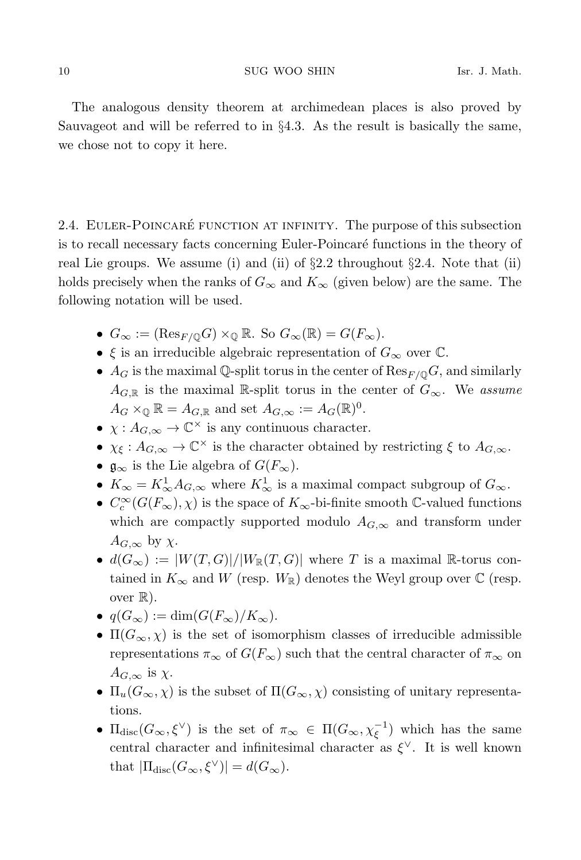The analogous density theorem at archimedean places is also proved by Sauvageot and will be referred to in §4.3. As the result is basically the same, we chose not to copy it here.

2.4. EULER-POINCARÉ FUNCTION AT INFINITY. The purpose of this subsection is to recall necessary facts concerning Euler-Poincaré functions in the theory of real Lie groups. We assume (i) and (ii) of  $\S 2.2$  throughout  $\S 2.4$ . Note that (ii) holds precisely when the ranks of  $G_{\infty}$  and  $K_{\infty}$  (given below) are the same. The following notation will be used.

- $G_{\infty} := (\text{Res}_{F/\mathbb{Q}}G) \times_{\mathbb{Q}} \mathbb{R}$ . So  $G_{\infty}(\mathbb{R}) = G(F_{\infty})$ .
- $\xi$  is an irreducible algebraic representation of  $G_{\infty}$  over  $\mathbb{C}$ .
- $A_G$  is the maximal Q-split torus in the center of  $\text{Res}_{F/O} G$ , and similarly  $A_{G,\mathbb{R}}$  is the maximal R-split torus in the center of  $G_{\infty}$ . We assume  $A_G \times_{\mathbb{Q}} \mathbb{R} = A_{G,\mathbb{R}}$  and set  $A_{G,\infty} := A_G(\mathbb{R})^0$ .
- $\chi: A_{G,\infty} \to \mathbb{C}^{\times}$  is any continuous character.
- $\chi_{\xi}: A_{G,\infty} \to \mathbb{C}^{\times}$  is the character obtained by restricting  $\xi$  to  $A_{G,\infty}$ .
- $\mathfrak{g}_{\infty}$  is the Lie algebra of  $G(F_{\infty})$ .
- $K_{\infty} = K_{\infty}^1 A_{G,\infty}$  where  $K_{\infty}^1$  is a maximal compact subgroup of  $G_{\infty}$ .
- $C_c^{\infty}(G(F_{\infty}), \chi)$  is the space of  $K_{\infty}$ -bi-finite smooth  $\mathbb{C}$ -valued functions which are compactly supported modulo  $A_{G,\infty}$  and transform under  $A_{G,\infty}$  by  $\chi$ .
- $d(G_{\infty}) := |W(T, G)|/|W_{\mathbb{R}}(T, G)|$  where T is a maximal R-torus contained in  $K_{\infty}$  and W (resp.  $W_{\mathbb{R}}$ ) denotes the Weyl group over  $\mathbb{C}$  (resp. over  $\mathbb{R}$ ).
- $q(G_{\infty}) := \dim(G(F_{\infty})/K_{\infty}).$
- $\Pi(G_{\infty}, \chi)$  is the set of isomorphism classes of irreducible admissible representations  $\pi_{\infty}$  of  $G(F_{\infty})$  such that the central character of  $\pi_{\infty}$  on  $A_{G,\infty}$  is  $\chi$ .
- $\Pi_u(G_\infty, \chi)$  is the subset of  $\Pi(G_\infty, \chi)$  consisting of unitary representations.
- $\Pi_{\text{disc}}(G_{\infty}, \xi^{\vee})$  is the set of  $\pi_{\infty} \in \Pi(G_{\infty}, \chi_{\xi}^{-1})$  which has the same central character and infinitesimal character as  $\xi^{\vee}$ . It is well known that  $|\Pi_{\text{disc}}(G_{\infty}, \xi^{\vee})| = d(G_{\infty}).$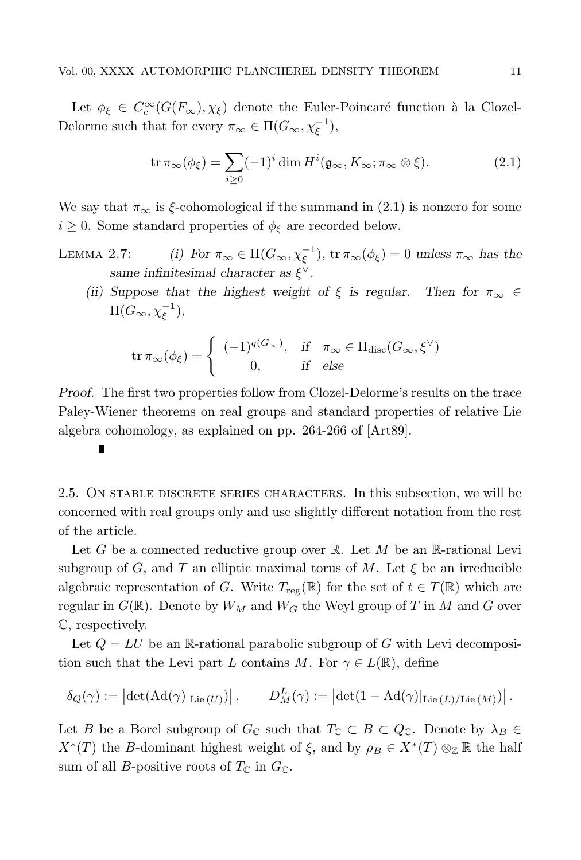Let  $\phi_{\xi} \in C_c^{\infty}(G(F_{\infty}), \chi_{\xi})$  denote the Euler-Poincaré function à la Clozel-Delorme such that for every  $\pi_{\infty} \in \Pi(G_{\infty}, \chi_{\xi}^{-1}),$ 

$$
\operatorname{tr} \pi_{\infty}(\phi_{\xi}) = \sum_{i \ge 0} (-1)^i \dim H^i(\mathfrak{g}_{\infty}, K_{\infty}; \pi_{\infty} \otimes \xi).
$$
 (2.1)

We say that  $\pi_{\infty}$  is  $\xi$ -cohomological if the summand in (2.1) is nonzero for some  $i \geq 0$ . Some standard properties of  $\phi_{\xi}$  are recorded below.

- LEMMA 2.7: (i) For  $\pi_{\infty} \in \Pi(G_{\infty}, \chi_{\xi}^{-1}), \text{tr } \pi_{\infty}(\phi_{\xi}) = 0$  unless  $\pi_{\infty}$  has the same infinitesimal character as  $\xi^{\vee}$ .
	- (ii) Suppose that the highest weight of  $\xi$  is regular. Then for  $\pi_{\infty} \in$  $\Pi(G_{\infty},\chi_{\xi}^{-1}),$

$$
\operatorname{tr} \pi_{\infty}(\phi_{\xi}) = \begin{cases} (-1)^{q(G_{\infty})}, & \text{if } \pi_{\infty} \in \Pi_{\operatorname{disc}}(G_{\infty}, \xi^{\vee}) \\ 0, & \text{if } \operatorname{else} \end{cases}
$$

Proof. The first two properties follow from Clozel-Delorme's results on the trace Paley-Wiener theorems on real groups and standard properties of relative Lie algebra cohomology, as explained on pp. 264-266 of [Art89].

2.5. On stable discrete series characters. In this subsection, we will be concerned with real groups only and use slightly different notation from the rest of the article.

Let G be a connected reductive group over  $\mathbb{R}$ . Let M be an  $\mathbb{R}$ -rational Levi subgroup of G, and T an elliptic maximal torus of M. Let  $\xi$  be an irreducible algebraic representation of G. Write  $T_{reg}(\mathbb{R})$  for the set of  $t \in T(\mathbb{R})$  which are regular in  $G(\mathbb{R})$ . Denote by  $W_M$  and  $W_G$  the Weyl group of T in M and G over C, respectively.

Let  $Q = LU$  be an R-rational parabolic subgroup of G with Levi decomposition such that the Levi part L contains M. For  $\gamma \in L(\mathbb{R})$ , define

$$
\delta_Q(\gamma) := \left| \det(\mathrm{Ad}(\gamma)|_{\mathrm{Lie}(U)}) \right|, \qquad D^L_M(\gamma) := \left| \det(1 - \mathrm{Ad}(\gamma)|_{\mathrm{Lie}(L)/\mathrm{Lie}(M)}) \right|.
$$

Let B be a Borel subgroup of  $G_{\mathbb{C}}$  such that  $T_{\mathbb{C}} \subset B \subset Q_{\mathbb{C}}$ . Denote by  $\lambda_B \in$  $X^*(T)$  the B-dominant highest weight of  $\xi$ , and by  $\rho_B \in X^*(T) \otimes_{\mathbb{Z}} \mathbb{R}$  the half sum of all *B*-positive roots of  $T_{\mathbb{C}}$  in  $G_{\mathbb{C}}$ .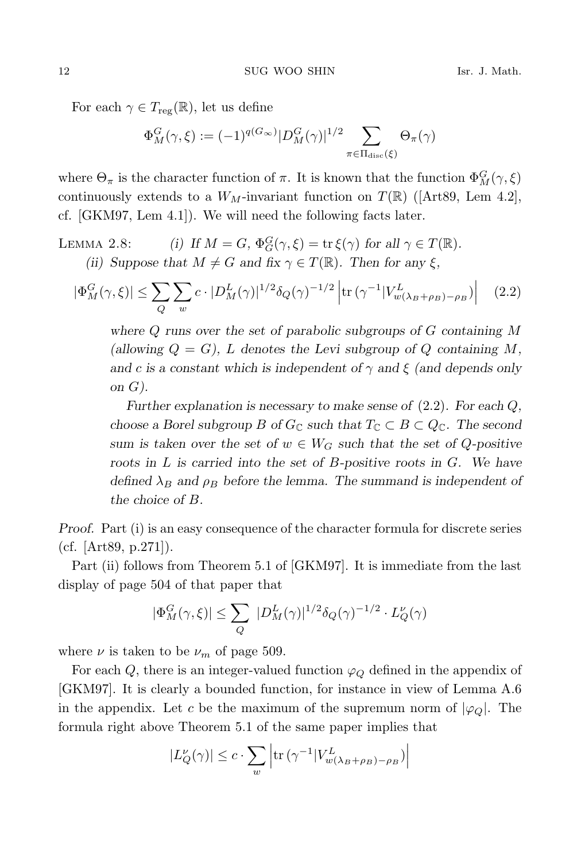For each  $\gamma \in T_{\text{reg}}(\mathbb{R})$ , let us define

$$
\Phi_M^G(\gamma,\xi):=(-1)^{q(G_\infty)}|D_M^G(\gamma)|^{1/2}\sum_{\pi\in\Pi_{\mathrm{disc}}(\xi)}\Theta_\pi(\gamma)
$$

where  $\Theta_{\pi}$  is the character function of  $\pi$ . It is known that the function  $\Phi_M^G(\gamma, \xi)$ continuously extends to a  $W_M$ -invariant function on  $T(\mathbb{R})$  ([Art89, Lem 4.2], cf. [GKM97, Lem 4.1]). We will need the following facts later.

LEMMA 2.8: (i) If  $M = G$ ,  $\Phi_G^G(\gamma, \xi) = \text{tr} \xi(\gamma)$  for all  $\gamma \in T(\mathbb{R})$ . (ii) Suppose that  $M \neq G$  and fix  $\gamma \in T(\mathbb{R})$ . Then for any  $\xi$ ,

$$
|\Phi_M^G(\gamma,\xi)| \le \sum_Q \sum_w c \cdot |D_M^L(\gamma)|^{1/2} \delta_Q(\gamma)^{-1/2} \left| \text{tr}\left(\gamma^{-1} |V_{w(\lambda_B + \rho_B) - \rho_B}^L(\gamma)\right) \right| \tag{2.2}
$$

where  $Q$  runs over the set of parabolic subgroups of  $G$  containing  $M$ (allowing  $Q = G$ ), L denotes the Levi subgroup of Q containing M, and c is a constant which is independent of  $\gamma$  and  $\xi$  (and depends only on  $G$ ).

Further explanation is necessary to make sense of  $(2.2)$ . For each  $Q$ , choose a Borel subgroup B of  $G_{\mathbb{C}}$  such that  $T_{\mathbb{C}} \subset B \subset Q_{\mathbb{C}}$ . The second sum is taken over the set of  $w \in W_G$  such that the set of Q-positive roots in  $L$  is carried into the set of  $B$ -positive roots in  $G$ . We have defined  $\lambda_B$  and  $\rho_B$  before the lemma. The summand is independent of the choice of B.

Proof. Part (i) is an easy consequence of the character formula for discrete series (cf. [Art89, p.271]).

Part (ii) follows from Theorem 5.1 of [GKM97]. It is immediate from the last display of page 504 of that paper that

$$
|\Phi_M^G(\gamma,\xi)| \leq \sum_Q |D_M^L(\gamma)|^{1/2} \delta_Q(\gamma)^{-1/2} \cdot L_Q^{\nu}(\gamma)
$$

where  $\nu$  is taken to be  $\nu_m$  of page 509.

For each Q, there is an integer-valued function  $\varphi_Q$  defined in the appendix of [GKM97]. It is clearly a bounded function, for instance in view of Lemma A.6 in the appendix. Let c be the maximum of the supremum norm of  $|\varphi_Q|$ . The formula right above Theorem 5.1 of the same paper implies that

$$
|L_Q^{\nu}(\gamma)| \le c \cdot \sum_{w} \left| \text{tr} \left( \gamma^{-1} |V_{w(\lambda_B + \rho_B) - \rho_B}^L \right) \right|
$$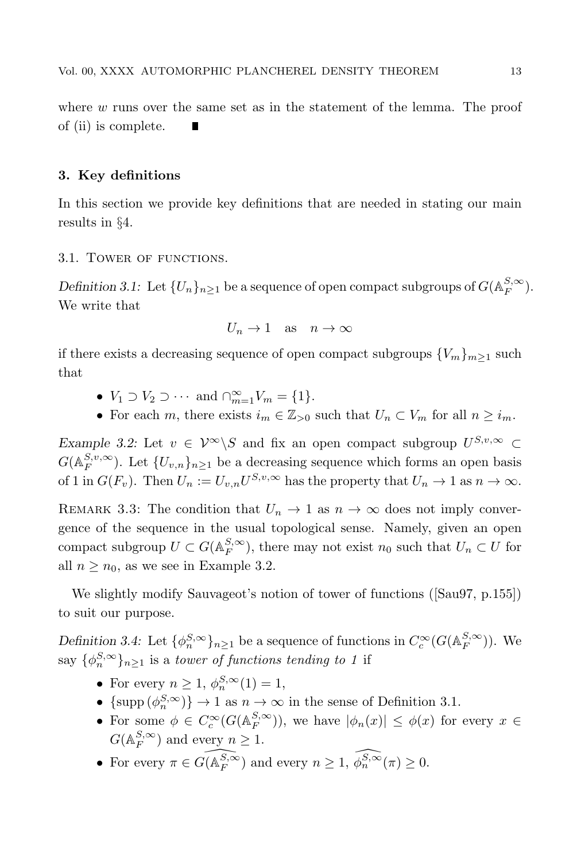where  $w$  runs over the same set as in the statement of the lemma. The proof of (ii) is complete. n

### 3. Key definitions

In this section we provide key definitions that are needed in stating our main results in §4.

### 3.1. Tower of functions.

Definition 3.1: Let  $\{U_n\}_{n\geq 1}$  be a sequence of open compact subgroups of  $G(\mathbb{A}_F^{S,\infty})$ . We write that

$$
U_n \to 1
$$
 as  $n \to \infty$ 

if there exists a decreasing sequence of open compact subgroups  ${V_m}_{m\geq 1}$  such that

- $V_1 \supset V_2 \supset \cdots$  and  $\bigcap_{m=1}^{\infty} V_m = \{1\}.$
- For each m, there exists  $i_m \in \mathbb{Z}_{>0}$  such that  $U_n \subset V_m$  for all  $n \geq i_m$ .

Example 3.2: Let  $v \in \mathcal{V}^{\infty} \backslash S$  and fix an open compact subgroup  $U^{S,v,\infty} \subset$  $G(\mathbb{A}_F^{S,v,\infty})$ . Let  $\{U_{v,n}\}_{n\geq 1}$  be a decreasing sequence which forms an open basis of 1 in  $G(F_v)$ . Then  $U_n := U_{v,n}U^{S,v,\infty}$  has the property that  $U_n \to 1$  as  $n \to \infty$ .

REMARK 3.3: The condition that  $U_n \to 1$  as  $n \to \infty$  does not imply convergence of the sequence in the usual topological sense. Namely, given an open compact subgroup  $U \subset G(\mathbb{A}_F^{S,\infty})$ , there may not exist  $n_0$  such that  $U_n \subset U$  for all  $n \geq n_0$ , as we see in Example 3.2.

We slightly modify Sauvageot's notion of tower of functions ([Sau97, p.155]) to suit our purpose.

Definition 3.4: Let  $\{\phi_n^{S,\infty}\}_{n\geq 1}$  be a sequence of functions in  $C_c^{\infty}(G(\mathbb{A}_F^{S,\infty}))$ . We say  $\{\phi_n^{S,\infty}\}_{n\geq 1}$  is a *tower of functions tending to 1* if

- For every  $n \geq 1$ ,  $\phi_n^{S, \infty}(1) = 1$ ,
- $\{\supp (\phi_n^{S,\infty})\}\to 1$  as  $n\to\infty$  in the sense of Definition 3.1.
- For some  $\phi \in C_c^{\infty}(G(\mathbb{A}_F^{S,\infty}))$ , we have  $|\phi_n(x)| \leq \phi(x)$  for every  $x \in$  $G(A_F^{S,\infty})$  and every  $n \geq 1$ .
- For every  $\pi \in \widehat{G(\mathbb{A}_F^{S,\infty})}$  and every  $n \geq 1$ ,  $\widehat{\phi_n^{S,\infty}}(\pi) \geq 0$ .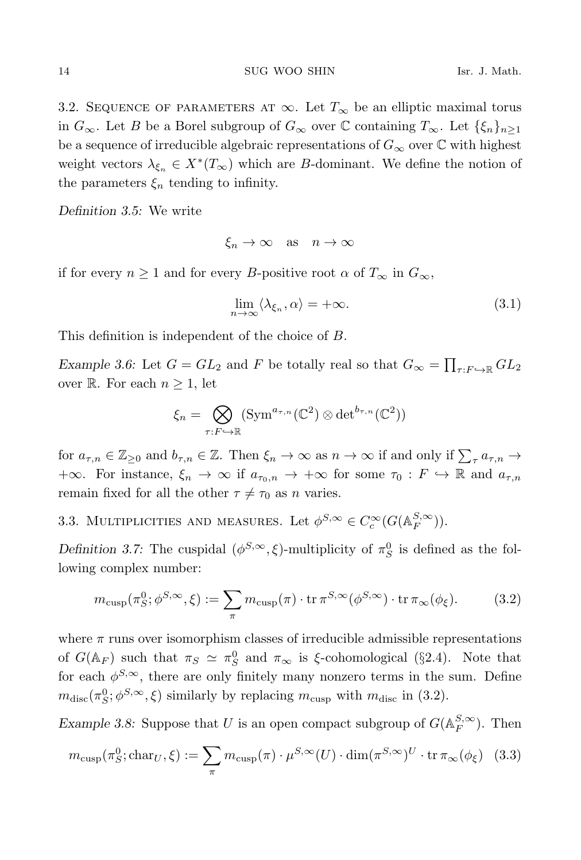3.2. SEQUENCE OF PARAMETERS AT  $\infty$ . Let  $T_{\infty}$  be an elliptic maximal torus in  $G_{\infty}$ . Let B be a Borel subgroup of  $G_{\infty}$  over  $\mathbb C$  containing  $T_{\infty}$ . Let  $\{\xi_n\}_{n\geq 1}$ be a sequence of irreducible algebraic representations of  $G_{\infty}$  over  $\mathbb C$  with highest weight vectors  $\lambda_{\xi_n} \in X^*(T_\infty)$  which are B-dominant. We define the notion of the parameters  $\xi_n$  tending to infinity.

Definition 3.5: We write

$$
\xi_n \to \infty \quad \text{as} \quad n \to \infty
$$

if for every  $n \geq 1$  and for every B-positive root  $\alpha$  of  $T_{\infty}$  in  $G_{\infty}$ ,

$$
\lim_{n \to \infty} \langle \lambda_{\xi_n}, \alpha \rangle = +\infty. \tag{3.1}
$$

This definition is independent of the choice of B.

Example 3.6: Let  $G = GL_2$  and F be totally real so that  $G_{\infty} = \prod_{\tau: F \hookrightarrow \mathbb{R}} GL_2$ over R. For each  $n \geq 1$ , let

$$
\xi_n = \bigotimes_{\tau: F \hookrightarrow \mathbb{R}} (\operatorname{Sym}^{a_{\tau,n}}(\mathbb{C}^2) \otimes \det^{b_{\tau,n}}(\mathbb{C}^2))
$$

for  $a_{\tau,n} \in \mathbb{Z}_{\geq 0}$  and  $b_{\tau,n} \in \mathbb{Z}$ . Then  $\xi_n \to \infty$  as  $n \to \infty$  if and only if  $\sum_{\tau} a_{\tau,n} \to$ +∞. For instance,  $\xi_n \to \infty$  if  $a_{\tau_0,n} \to +\infty$  for some  $\tau_0 : F \to \mathbb{R}$  and  $a_{\tau,n}$ remain fixed for all the other  $\tau \neq \tau_0$  as n varies.

3.3. MULTIPLICITIES AND MEASURES. Let  $\phi^{S,\infty} \in C_c^{\infty}(G(\mathbb{A}_F^{S,\infty}))$ .

Definition 3.7: The cuspidal  $(\phi^{S,\infty}, \xi)$ -multiplicity of  $\pi_S^0$  is defined as the following complex number:

$$
m_{\text{cusp}}(\pi_S^0; \phi^{S, \infty}, \xi) := \sum_{\pi} m_{\text{cusp}}(\pi) \cdot \text{tr} \, \pi^{S, \infty}(\phi^{S, \infty}) \cdot \text{tr} \, \pi_{\infty}(\phi_{\xi}). \tag{3.2}
$$

where  $\pi$  runs over isomorphism classes of irreducible admissible representations of  $G(\mathbb{A}_F)$  such that  $\pi_S \simeq \pi_S^0$  and  $\pi_\infty$  is  $\xi$ -cohomological (§2.4). Note that for each  $\phi^{S,\infty}$ , there are only finitely many nonzero terms in the sum. Define  $m_{\text{disc}}(\pi_S^0; \phi^{S, \infty}, \xi)$  similarly by replacing  $m_{\text{cusp}}$  with  $m_{\text{disc}}$  in (3.2).

Example 3.8: Suppose that U is an open compact subgroup of  $G(A_F^{S,\infty})$ . Then

$$
m_{\text{cusp}}(\pi_S^0; \text{char}_U, \xi) := \sum_{\pi} m_{\text{cusp}}(\pi) \cdot \mu^{S, \infty}(U) \cdot \dim(\pi^{S, \infty})^U \cdot \text{tr} \, \pi_{\infty}(\phi_{\xi}) \tag{3.3}
$$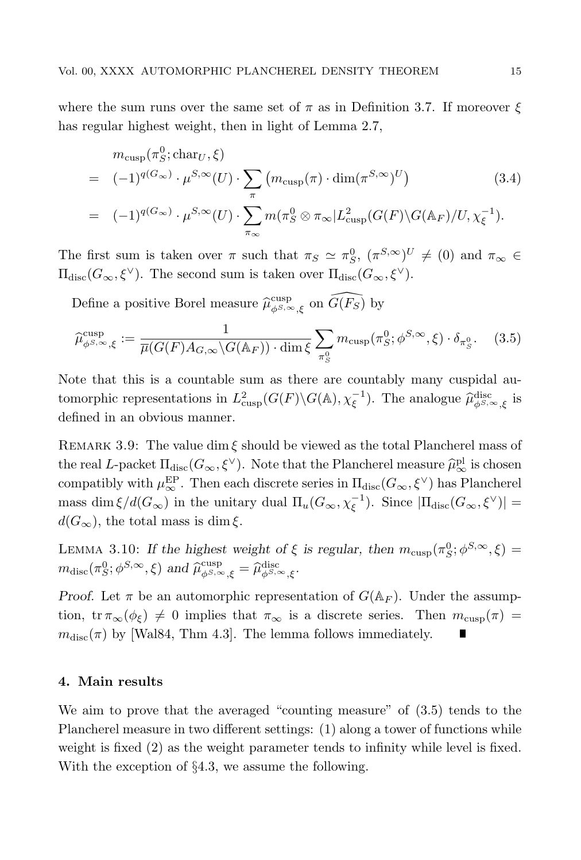where the sum runs over the same set of  $\pi$  as in Definition 3.7. If moreover  $\xi$ has regular highest weight, then in light of Lemma 2.7,

$$
m_{\text{cusp}}(\pi_S^0; \text{char}_U, \xi)
$$
  
=  $(-1)^{q(G_{\infty})} \cdot \mu^{S, \infty}(U) \cdot \sum_{\pi} (m_{\text{cusp}}(\pi) \cdot \dim(\pi^{S, \infty})^U)$  (3.4)  
=  $(-1)^{q(G_{\infty})} \cdot \mu^{S, \infty}(U) \cdot \sum_{\pi_{\infty}} m(\pi_S^0 \otimes \pi_{\infty}|L_{\text{cusp}}^2(G(F) \backslash G(\mathbb{A}_F)/U, \chi_{\xi}^{-1}).$ 

The first sum is taken over  $\pi$  such that  $\pi_S \simeq \pi_S^0$ ,  $(\pi^{S,\infty})^U \neq (0)$  and  $\pi_\infty \in$  $\Pi_{\text{disc}}(G_{\infty}, \xi^{\vee})$ . The second sum is taken over  $\Pi_{\text{disc}}(G_{\infty}, \xi^{\vee})$ .

Define a positive Borel measure  $\widehat{\mu}_{\phi^{S,\infty},\xi}^{\text{cusp}}$  on  $\widehat{G(F_S)}$  by

$$
\widehat{\mu}_{\phi^{S,\infty},\xi}^{\text{cusp}} := \frac{1}{\overline{\mu}(G(F)A_{G,\infty}\backslash G(\mathbb{A}_F)) \cdot \dim \xi} \sum_{\pi_S^0} m_{\text{cusp}}(\pi_S^0; \phi^{S,\infty}, \xi) \cdot \delta_{\pi_S^0}.
$$
 (3.5)

Note that this is a countable sum as there are countably many cuspidal automorphic representations in  $L^2_{\text{cusp}}(G(F) \backslash G(\mathbb{A}), \chi_{\xi}^{-1})$ . The analogue  $\widehat{\mu}_{\phi^{S,\infty},\xi}^{\text{disc}}$  is defined in an obvious manner.

REMARK 3.9: The value dim  $\xi$  should be viewed as the total Plancherel mass of the real L-packet  $\Pi_{\text{disc}}(G_{\infty}, \xi^{\vee})$ . Note that the Plancherel measure  $\hat{\mu}_{\infty}^{\text{pl}}$  is chosen compatibly with  $\mu_{\infty}^{\text{EP}}$ . Then each discrete series in  $\Pi_{\text{disc}}(G_{\infty}, \xi^{\vee})$  has Plancherel mass dim  $\xi/d(G_{\infty})$  in the unitary dual  $\Pi_u(G_{\infty},\chi_{\xi}^{-1})$ . Since  $|\Pi_{\text{disc}}(G_{\infty},\xi^{\vee})|$  =  $d(G_{\infty})$ , the total mass is dim  $\xi$ .

LEMMA 3.10: If the highest weight of  $\xi$  is regular, then  $m_{\text{cusp}}(\pi_S^0; \phi^{S, \infty}, \xi) =$  $m_{\text{disc}}(\pi_S^0; \phi^{S, \infty}, \xi)$  and  $\widehat{\mu}_{\phi^{S, \infty}, \xi}^{\text{cusp}} = \widehat{\mu}_{\phi^{S, \infty}, \xi}^{\text{disc}}$ .

Proof. Let  $\pi$  be an automorphic representation of  $G(\mathbb{A}_F)$ . Under the assumption, tr  $\pi_{\infty}(\phi_{\xi}) \neq 0$  implies that  $\pi_{\infty}$  is a discrete series. Then  $m_{\text{cusp}}(\pi) =$  $m_{disc}(\pi)$  by [Wal84, Thm 4.3]. The lemma follows immediately.

### 4. Main results

We aim to prove that the averaged "counting measure" of (3.5) tends to the Plancherel measure in two different settings: (1) along a tower of functions while weight is fixed (2) as the weight parameter tends to infinity while level is fixed. With the exception of §4.3, we assume the following.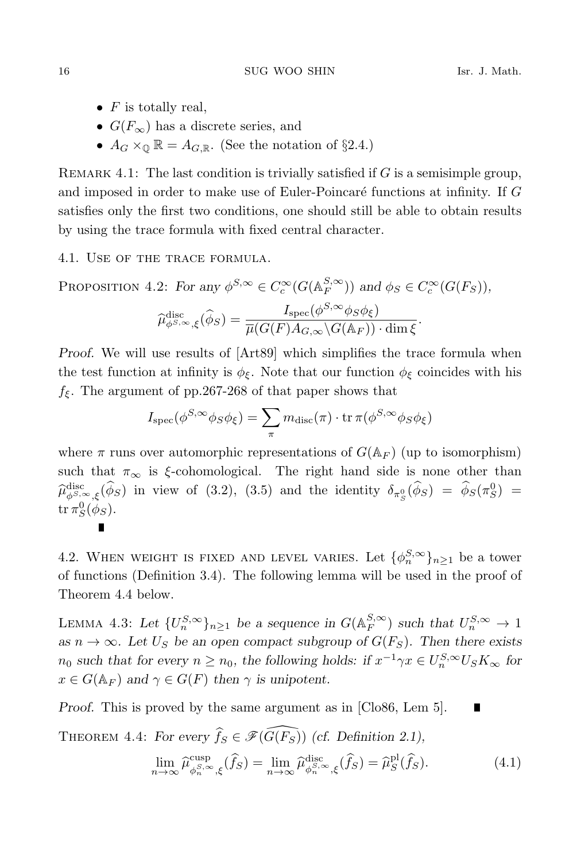- $F$  is totally real.
- $G(F_{\infty})$  has a discrete series, and
- $A_G \times_{\mathbb{Q}} \mathbb{R} = A_{G,\mathbb{R}}$ . (See the notation of §2.4.)

REMARK 4.1: The last condition is trivially satisfied if  $G$  is a semisimple group, and imposed in order to make use of Euler-Poincaré functions at infinity. If  $G$ satisfies only the first two conditions, one should still be able to obtain results by using the trace formula with fixed central character.

### 4.1. Use of the trace formula.

 $\blacksquare$ 

PROPOSITION 4.2: For any  $\phi^{S,\infty} \in C_c^{\infty}(G(\mathbb{A}_F^{S,\infty}))$  and  $\phi_S \in C_c^{\infty}(G(F_S)),$ 

$$
\widehat{\mu}_{\phi^{S,\infty},\xi}^{\text{disc}}(\widehat{\phi}_S) = \frac{I_{\text{spec}}(\phi^{S,\infty}\phi_S\phi_{\xi})}{\overline{\mu}(G(F)A_{G,\infty}\backslash G(\mathbb{A}_F))\cdot\dim\xi}.
$$

Proof. We will use results of [Art89] which simplifies the trace formula when the test function at infinity is  $\phi_{\xi}$ . Note that our function  $\phi_{\xi}$  coincides with his  $f_{\xi}$ . The argument of pp.267-268 of that paper shows that

$$
I_{\rm spec}(\phi^{S,\infty}\phi_S\phi_{\xi}) = \sum_{\pi} m_{\rm disc}(\pi) \cdot \text{tr}\,\pi(\phi^{S,\infty}\phi_S\phi_{\xi})
$$

where  $\pi$  runs over automorphic representations of  $G(\mathbb{A}_F)$  (up to isomorphism) such that  $\pi_{\infty}$  is  $\xi$ -cohomological. The right hand side is none other than  $\hat{\mu}_{\beta S, \infty, \xi}^{\text{disc}}(\hat{\phi}_S)$  in view of (3.2), (3.5) and the identity  $\delta_{\pi_S^0}(\hat{\phi}_S) = \hat{\phi}_S(\pi_S^0) =$  ${\rm tr}\,\pi^0_S(\phi_S).$ 

4.2. WHEN WEIGHT IS FIXED AND LEVEL VARIES. Let  $\{\phi_n^{S,\infty}\}_{n\geq 1}$  be a tower of functions (Definition 3.4). The following lemma will be used in the proof of Theorem 4.4 below.

LEMMA 4.3: Let  $\{U_n^{S,\infty}\}_{n\geq 1}$  be a sequence in  $G(\mathbb{A}_F^{S,\infty})$  such that  $U_n^{S,\infty} \to 1$ as  $n \to \infty$ . Let  $U_S$  be an open compact subgroup of  $G(F_S)$ . Then there exists  $n_0$  such that for every  $n \ge n_0$ , the following holds: if  $x^{-1}\gamma x \in U_n^{S,\infty}U_S K_\infty$  for  $x \in G(\mathbb{A}_F)$  and  $\gamma \in G(F)$  then  $\gamma$  is unipotent.

Proof. This is proved by the same argument as in [Clo86, Lem 5]. П

THEOREM 4.4: For every  $\widehat{f}_S \in \mathscr{F}(\widehat{G(F_S)})$  (cf. Definition 2.1),

$$
\lim_{n \to \infty} \widehat{\mu}_{\phi_n^{S,\infty},\xi}^{\text{cusp}}(\widehat{f}_S) = \lim_{n \to \infty} \widehat{\mu}_{\phi_n^{S,\infty},\xi}^{\text{disc}}(\widehat{f}_S) = \widehat{\mu}_S^{\text{pl}}(\widehat{f}_S). \tag{4.1}
$$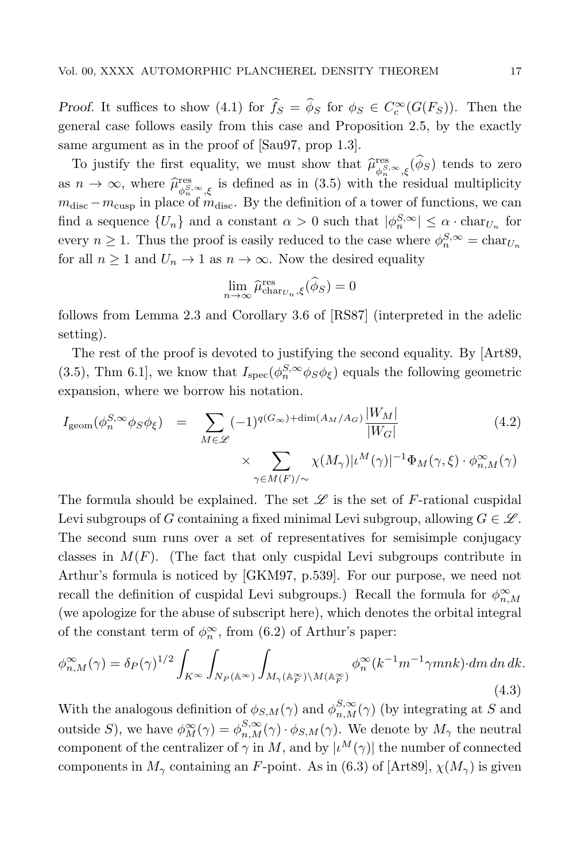Proof. It suffices to show (4.1) for  $\hat{f}_S = \hat{\phi}_S$  for  $\phi_S \in C_c^{\infty}(G(F_S))$ . Then the general case follows easily from this case and Proposition 2.5, by the exactly same argument as in the proof of [Sau97, prop 1.3].

To justify the first equality, we must show that  $\widehat{\mu}_{\phi_n}^{\text{res}}$  $\mathcal{L}^{\text{res}}_{\phi_n^{S,\infty},\xi}(\phi_S)$  tends to zero as  $n \to \infty$ , where  $\widehat{\mu}_{\phi_n^S}^{\text{res}}$  $\psi_{\phi_n}^{\text{res}}$ , is defined as in (3.5) with the residual multiplicity  $m_{\text{disc}} - m_{\text{cusp}}$  in place of  $m_{\text{disc}}$ . By the definition of a tower of functions, we can find a sequence  $\{U_n\}$  and a constant  $\alpha > 0$  such that  $|\phi_n^{S,\infty}| \leq \alpha \cdot \text{char}_{U_n}$  for every  $n \geq 1$ . Thus the proof is easily reduced to the case where  $\phi_n^{S,\infty} = \text{char}_{U_n}$ for all  $n \geq 1$  and  $U_n \to 1$  as  $n \to \infty$ . Now the desired equality

$$
\lim_{n \to \infty} \widehat{\mu}_{\text{char}_{U_n},\xi}^{\text{res}}(\widehat{\phi}_S) = 0
$$

follows from Lemma 2.3 and Corollary 3.6 of [RS87] (interpreted in the adelic setting).

The rest of the proof is devoted to justifying the second equality. By [Art89, (3.5), Thm 6.1], we know that  $I_{\text{spec}}(\phi_n^{S,\infty} \phi_S \phi_{\xi})$  equals the following geometric expansion, where we borrow his notation.

$$
I_{\text{geom}}(\phi_n^{S,\infty}\phi_S\phi_\xi) = \sum_{M \in \mathscr{L}} (-1)^{q(G_\infty) + \dim(A_M/A_G)} \frac{|W_M|}{|W_G|} \times \sum_{\gamma \in M(F)/\sim} \chi(M_\gamma)|\iota^M(\gamma)|^{-1} \Phi_M(\gamma, \xi) \cdot \phi_{n,M}^{\infty}(\gamma)
$$
\n(4.2)

The formula should be explained. The set  $\mathscr L$  is the set of F-rational cuspidal Levi subgroups of G containing a fixed minimal Levi subgroup, allowing  $G \in \mathscr{L}$ . The second sum runs over a set of representatives for semisimple conjugacy classes in  $M(F)$ . (The fact that only cuspidal Levi subgroups contribute in Arthur's formula is noticed by [GKM97, p.539]. For our purpose, we need not recall the definition of cuspidal Levi subgroups.) Recall the formula for  $\phi_{n,M}^{\infty}$ (we apologize for the abuse of subscript here), which denotes the orbital integral of the constant term of  $\phi_n^{\infty}$ , from (6.2) of Arthur's paper:

$$
\phi_{n,M}^{\infty}(\gamma) = \delta_P(\gamma)^{1/2} \int_{K^{\infty}} \int_{N_P(\mathbb{A}^{\infty})} \int_{M_{\gamma}(\mathbb{A}_F^{\infty}) \backslash M(\mathbb{A}_F^{\infty})} \phi_n^{\infty}(k^{-1}m^{-1}\gamma mnk) \, dm \, dn \, dk.
$$
\n(4.3)

With the analogous definition of  $\phi_{S,M}(\gamma)$  and  $\phi_{n,M}^{S,\infty}(\gamma)$  (by integrating at S and outside S), we have  $\phi_M^{\infty}(\gamma) = \phi_{n,M}^{S,\infty}(\gamma) \cdot \phi_{S,M}(\gamma)$ . We denote by  $M_{\gamma}$  the neutral component of the centralizer of  $\gamma$  in M, and by  $|\iota^M(\gamma)|$  the number of connected components in  $M_{\gamma}$  containing an F-point. As in (6.3) of [Art89],  $\chi(M_{\gamma})$  is given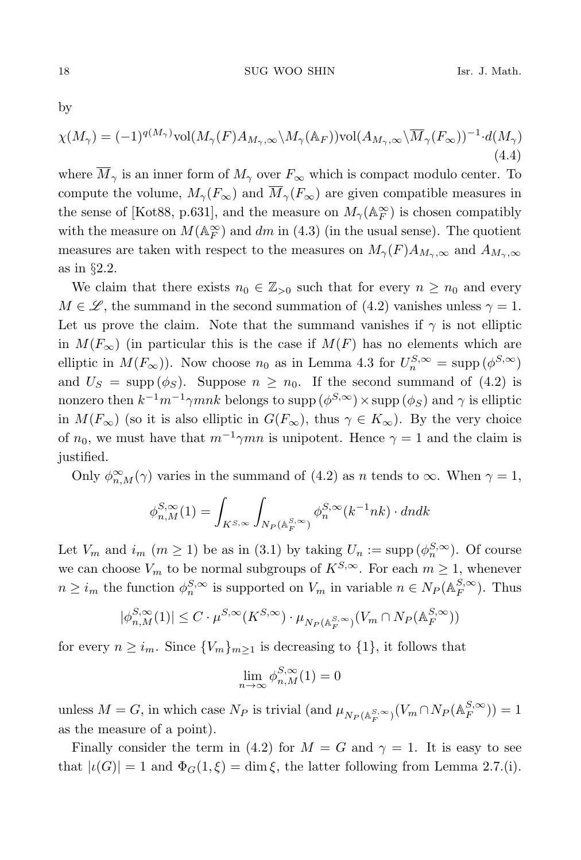by

$$
\chi(M_{\gamma}) = (-1)^{q(M_{\gamma})} \text{vol}(M_{\gamma}(F)A_{M_{\gamma},\infty} \backslash M_{\gamma}(\mathbb{A}_F)) \text{vol}(A_{M_{\gamma},\infty} \backslash \overline{M}_{\gamma}(F_{\infty}))^{-1} \cdot d(M_{\gamma})
$$
\n(4.4)

where  $\overline{M}_{\gamma}$  is an inner form of  $M_{\gamma}$  over  $F_{\infty}$  which is compact modulo center. To compute the volume,  $M_{\gamma}(F_{\infty})$  and  $\overline{M}_{\gamma}(F_{\infty})$  are given compatible measures in the sense of [Kot88, p.631], and the measure on  $M_\gamma(\mathbb{A}_F^\infty)$  is chosen compatibly with the measure on  $M(\mathbb{A}_F^{\infty})$  and  $dm$  in (4.3) (in the usual sense). The quotient measures are taken with respect to the measures on  $M_{\gamma}(F)A_{M_{\gamma},\infty}$  and  $A_{M_{\gamma},\infty}$ as in §2.2.

We claim that there exists  $n_0 \in \mathbb{Z}_{>0}$  such that for every  $n \geq n_0$  and every  $M \in \mathscr{L}$ , the summand in the second summation of (4.2) vanishes unless  $\gamma = 1$ . Let us prove the claim. Note that the summand vanishes if  $\gamma$  is not elliptic in  $M(F_{\infty})$  (in particular this is the case if  $M(F)$  has no elements which are elliptic in  $M(F_{\infty})$ ). Now choose  $n_0$  as in Lemma 4.3 for  $U_n^{S,\infty} = \text{supp}(\phi^{S,\infty})$ and  $U_S = \text{supp}(\phi_S)$ . Suppose  $n \geq n_0$ . If the second summand of (4.2) is nonzero then  $k^{-1}m^{-1}\gamma mnk$  belongs to supp  $(\phi^{S,\infty})\times \text{supp}(\phi_S)$  and  $\gamma$  is elliptic in  $M(F_{\infty})$  (so it is also elliptic in  $G(F_{\infty})$ , thus  $\gamma \in K_{\infty}$ ). By the very choice of  $n_0$ , we must have that  $m^{-1}\gamma mn$  is unipotent. Hence  $\gamma = 1$  and the claim is justified.

Only  $\phi_{n,M}^{\infty}(\gamma)$  varies in the summand of (4.2) as n tends to  $\infty$ . When  $\gamma = 1$ ,

$$
\phi_{n,M}^{S,\infty}(1)=\int_{K^{S,\infty}}\int_{N_P(\mathbb{A}_F^{S,\infty})}\phi_n^{S,\infty}(k^{-1}nk)\cdot dndk
$$

Let  $V_m$  and  $i_m$   $(m \ge 1)$  be as in (3.1) by taking  $U_n := \text{supp }(\phi_n^{S,\infty})$ . Of course we can choose  $V_m$  to be normal subgroups of  $K^{S,\infty}$ . For each  $m \geq 1$ , whenever  $n \geq i_m$  the function  $\phi_n^{S, \infty}$  is supported on  $V_m$  in variable  $n \in N_P(\mathbb{A}_F^{S, \infty})$ . Thus

$$
|\phi_{n,M}^{S,\infty}(1)| \leq C \cdot \mu^{S,\infty}(K^{S,\infty}) \cdot \mu_{N_P(\mathbb{A}_F^{S,\infty})}(V_m \cap N_P(\mathbb{A}_F^{S,\infty}))
$$

for every  $n \geq i_m$ . Since  $\{V_m\}_{m \geq 1}$  is decreasing to  $\{1\}$ , it follows that

$$
\lim_{n \to \infty} \phi_{n,M}^{S,\infty}(1) = 0
$$

unless  $M = G$ , in which case  $N_P$  is trivial (and  $\mu_{N_P(\mathbb{A}_F^{S,\infty})}(V_m \cap N_P(\mathbb{A}_F^{S,\infty})) = 1$ as the measure of a point).

Finally consider the term in (4.2) for  $M = G$  and  $\gamma = 1$ . It is easy to see that  $|\iota(G)| = 1$  and  $\Phi_G(1,\xi) = \dim \xi$ , the latter following from Lemma 2.7.(i).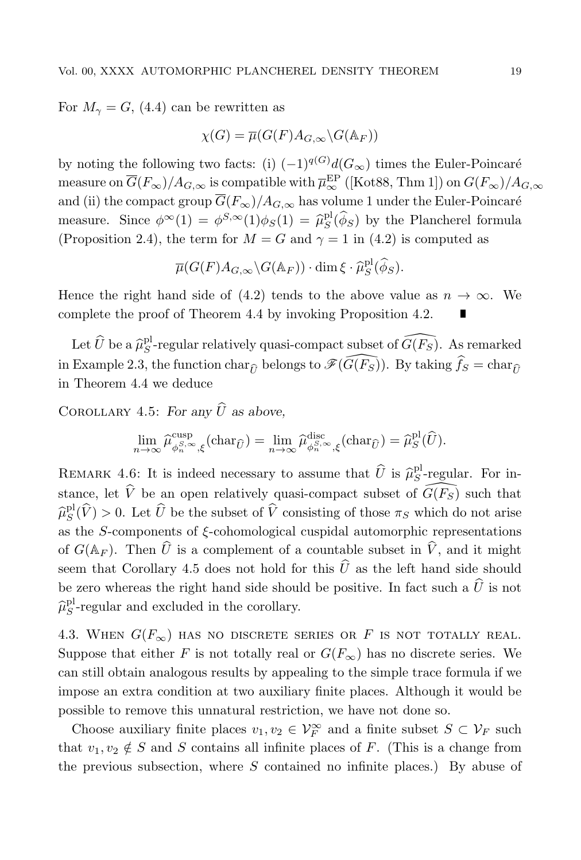For  $M_{\gamma} = G$ , (4.4) can be rewritten as

$$
\chi(G) = \overline{\mu}(G(F)A_{G,\infty}\backslash G(\mathbb{A}_F))
$$

by noting the following two facts: (i)  $(-1)^{q(G)}d(G_{\infty})$  times the Euler-Poincaré measure on  $\overline{G}(F_\infty)/A_{G,\infty}$  is compatible with  $\overline{\mu}^{\text{EP}}_\infty$  ([Kot88, Thm 1]) on  $G(F_\infty)/A_{G,\infty}$ and (ii) the compact group  $\overline{G}(F_{\infty})/A_{G,\infty}$  has volume 1 under the Euler-Poincaré measure. Since  $\phi^{\infty}(1) = \phi^{S,\infty}(1)\phi_S(1) = \hat{\mu}_S^{\text{pl}}(\hat{\phi}_S)$  by the Plancherel formula (Proposition 2.4), the term for  $M = G$  and  $\gamma = 1$  in (4.2) is computed as

$$
\overline{\mu}(G(F)A_{G,\infty}\backslash G(\mathbb{A}_F))\cdot \dim \xi \cdot \widehat{\mu}_S^{\text{pl}}(\widehat{\phi}_S).
$$

Hence the right hand side of (4.2) tends to the above value as  $n \to \infty$ . We complete the proof of Theorem 4.4 by invoking Proposition 4.2.

Let  $\widehat{U}$  be a  $\widehat{\mu}_S^{\text{pl}}$ -regular relatively quasi-compact subset of  $\widehat{G(F_S)}$ . As remarked in Example 2.3, the function char<sub> $\hat{U}$ </sub> belongs to  $\mathscr{F}(\widehat{G(F_S)})$ . By taking  $\hat{f}_S = \text{char}_{\hat{U}}$ in Theorem 4.4 we deduce

COROLLARY 4.5: For any  $\widehat{U}$  as above.

$$
\lim_{n \to \infty} \widehat{\mu}_{\phi_n^{\mathcal{S},\infty},\xi}^{\text{cusp}}(\text{char}_{\widehat{U}}) = \lim_{n \to \infty} \widehat{\mu}_{\phi_n^{\mathcal{S},\infty},\xi}^{\text{disc}}(\text{char}_{\widehat{U}}) = \widehat{\mu}_S^{\text{pl}}(\widehat{U}).
$$

REMARK 4.6: It is indeed necessary to assume that  $\hat{U}$  is  $\hat{\mu}_S^{\text{pl}}$ -regular. For instance, let  $\hat{V}$  be an open relatively quasi-compact subset of  $\widehat{G(F_S)}$  such that  $\hat{\mu}_S^{\text{pl}}(\hat{V}) > 0$ . Let  $\hat{U}$  be the subset of  $\hat{V}$  consisting of those  $\pi_S$  which do not arise as the S-components of  $\xi$ -cohomological cuspidal automorphic representations of  $G(\mathbb{A}_F)$ . Then  $\widehat{U}$  is a complement of a countable subset in  $\widehat{V}$ , and it might seem that Corollary 4.5 does not hold for this  $\hat{U}$  as the left hand side should be zero whereas the right hand side should be positive. In fact such a  $\hat{U}$  is not  $\widehat{\mu}_S^{\text{pl}}$ -regular and excluded in the corollary.

4.3. WHEN  $G(F_{\infty})$  has no discrete series or F is not totally real. Suppose that either F is not totally real or  $G(F_{\infty})$  has no discrete series. We can still obtain analogous results by appealing to the simple trace formula if we impose an extra condition at two auxiliary finite places. Although it would be possible to remove this unnatural restriction, we have not done so.

Choose auxiliary finite places  $v_1, v_2 \in \mathcal{V}_F^{\infty}$  and a finite subset  $S \subset \mathcal{V}_F$  such that  $v_1, v_2 \notin S$  and S contains all infinite places of F. (This is a change from the previous subsection, where  $S$  contained no infinite places.) By abuse of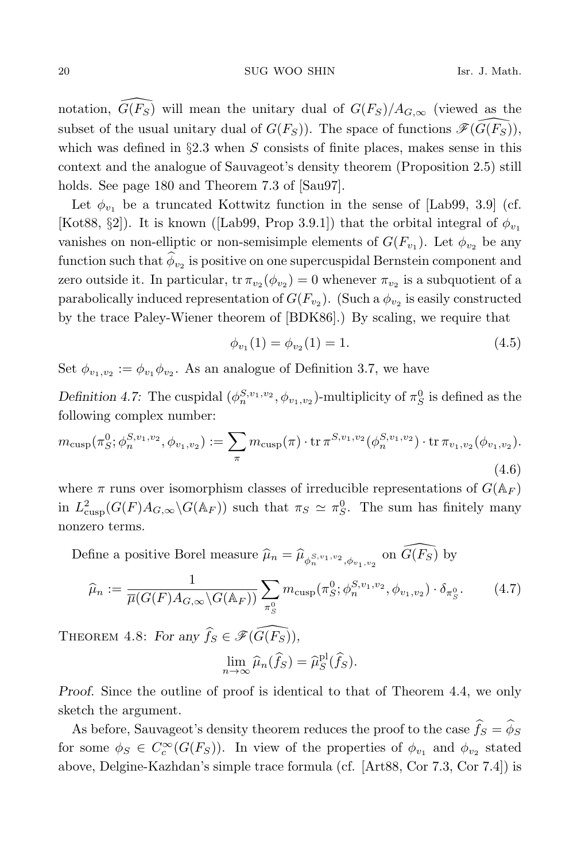notation,  $\widehat{G}(F_{S})$  will mean the unitary dual of  $G(F_{S})/A_{G,\infty}$  (viewed as the subset of the usual unitary dual of  $G(F_S)$ ). The space of functions  $\mathscr{F}(G(F_S))$ , which was defined in  $\S2.3$  when S consists of finite places, makes sense in this context and the analogue of Sauvageot's density theorem (Proposition 2.5) still holds. See page 180 and Theorem 7.3 of [Sau97].

Let  $\phi_{v_1}$  be a truncated Kottwitz function in the sense of [Lab99, 3.9] (cf. [Kot88, §2]). It is known ([Lab99, Prop 3.9.1]) that the orbital integral of  $\phi_{v_1}$ vanishes on non-elliptic or non-semisimple elements of  $G(F_{v_1})$ . Let  $\phi_{v_2}$  be any function such that  $\phi_{v_2}$  is positive on one supercuspidal Bernstein component and zero outside it. In particular,  $\text{tr } \pi_{v_2}(\phi_{v_2}) = 0$  whenever  $\pi_{v_2}$  is a subquotient of a parabolically induced representation of  $G(F_{v_2})$ . (Such a  $\phi_{v_2}$  is easily constructed by the trace Paley-Wiener theorem of [BDK86].) By scaling, we require that

$$
\phi_{v_1}(1) = \phi_{v_2}(1) = 1. \tag{4.5}
$$

Set  $\phi_{v_1,v_2} := \phi_{v_1} \phi_{v_2}$ . As an analogue of Definition 3.7, we have

Definition 4.7: The cuspidal  $(\phi_n^{S,v_1,v_2}, \phi_{v_1,v_2})$ -multiplicity of  $\pi_S^0$  is defined as the following complex number:

$$
m_{\text{cusp}}(\pi_S^0; \phi_n^{S, v_1, v_2}, \phi_{v_1, v_2}) := \sum_{\pi} m_{\text{cusp}}(\pi) \cdot \text{tr} \, \pi^{S, v_1, v_2}(\phi_n^{S, v_1, v_2}) \cdot \text{tr} \, \pi_{v_1, v_2}(\phi_{v_1, v_2}).
$$
\n(4.6)

where  $\pi$  runs over isomorphism classes of irreducible representations of  $G(\mathbb{A}_F)$ in  $L^2_{\text{cusp}}(G(F)A_{G,\infty}\backslash G(\mathbb{A}_F))$  such that  $\pi_S \simeq \pi_S^0$ . The sum has finitely many nonzero terms.

Define a positive Borel measure  $\hat{\mu}_n = \hat{\mu}_{\phi_n^{S,v_1,v_2}, \phi_{v_1,v_2}}$  on  $\widehat{G(F_S)}$  by

$$
\widehat{\mu}_n := \frac{1}{\overline{\mu}(G(F)A_{G,\infty}\backslash G(\mathbb{A}_F))} \sum_{\pi_S^0} m_{\text{cusp}}(\pi_S^0; \phi_n^{S,v_1,v_2}, \phi_{v_1,v_2}) \cdot \delta_{\pi_S^0}.
$$
 (4.7)

THEOREM 4.8: For any  $\widehat{f}_S \in \mathscr{F}(\widehat{G(F_S)}),$ 

$$
\lim_{n \to \infty} \widehat{\mu}_n(\widehat{f}_S) = \widehat{\mu}_S^{\text{pl}}(\widehat{f}_S).
$$

Proof. Since the outline of proof is identical to that of Theorem 4.4, we only sketch the argument.

As before, Sauvageot's density theorem reduces the proof to the case  $\widehat{f}_S = \widehat{\phi}_S$ for some  $\phi_S \in C_c^{\infty}(G(F_S))$ . In view of the properties of  $\phi_{v_1}$  and  $\phi_{v_2}$  stated above, Delgine-Kazhdan's simple trace formula (cf. [Art88, Cor 7.3, Cor 7.4]) is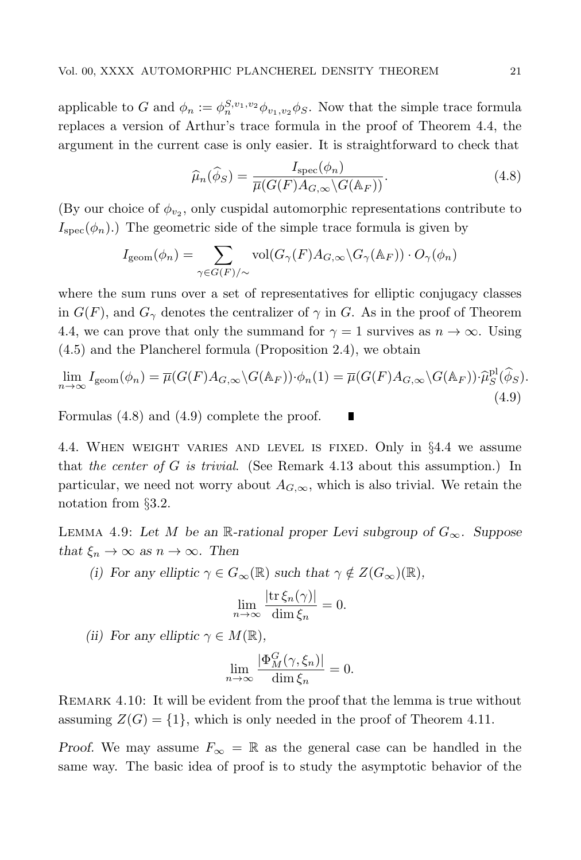applicable to G and  $\phi_n := \phi_n^{S, v_1, v_2} \phi_{v_1, v_2} \phi_S$ . Now that the simple trace formula replaces a version of Arthur's trace formula in the proof of Theorem 4.4, the argument in the current case is only easier. It is straightforward to check that

$$
\widehat{\mu}_n(\widehat{\phi}_S) = \frac{I_{\text{spec}}(\phi_n)}{\overline{\mu}(G(F)A_{G,\infty} \backslash G(\mathbb{A}_F))}.
$$
\n(4.8)

(By our choice of  $\phi_{v_2}$ , only cuspidal automorphic representations contribute to  $I<sub>spec</sub>(\phi_n)$ .) The geometric side of the simple trace formula is given by

$$
I_{\text{geom}}(\phi_n) = \sum_{\gamma \in G(F)/\sim} \text{vol}(G_{\gamma}(F)A_{G,\infty} \backslash G_{\gamma}(\mathbb{A}_F)) \cdot O_{\gamma}(\phi_n)
$$

where the sum runs over a set of representatives for elliptic conjugacy classes in  $G(F)$ , and  $G_{\gamma}$  denotes the centralizer of  $\gamma$  in G. As in the proof of Theorem 4.4, we can prove that only the summand for  $\gamma = 1$  survives as  $n \to \infty$ . Using (4.5) and the Plancherel formula (Proposition 2.4), we obtain

$$
\lim_{n \to \infty} I_{\text{geom}}(\phi_n) = \overline{\mu}(G(F)A_{G,\infty} \backslash G(\mathbb{A}_F)) \cdot \phi_n(1) = \overline{\mu}(G(F)A_{G,\infty} \backslash G(\mathbb{A}_F)) \cdot \widehat{\mu}_S^{\text{pl}}(\widehat{\phi}_S).
$$
\n(4.9)

Formulas (4.8) and (4.9) complete the proof. П

4.4. When weight varies and level is fixed. Only in §4.4 we assume that the center of  $G$  is trivial. (See Remark 4.13 about this assumption.) In particular, we need not worry about  $A_{G,\infty}$ , which is also trivial. We retain the notation from §3.2.

LEMMA 4.9: Let M be an R-rational proper Levi subgroup of  $G_{\infty}$ . Suppose that  $\xi_n \to \infty$  as  $n \to \infty$ . Then

(i) For any elliptic  $\gamma \in G_{\infty}(\mathbb{R})$  such that  $\gamma \notin Z(G_{\infty})(\mathbb{R}),$ 

$$
\lim_{n \to \infty} \frac{|\text{tr}\,\xi_n(\gamma)|}{\dim \xi_n} = 0.
$$

(ii) For any elliptic  $\gamma \in M(\mathbb{R}),$ 

$$
\lim_{n \to \infty} \frac{|\Phi_M^G(\gamma, \xi_n)|}{\dim \xi_n} = 0.
$$

Remark 4.10: It will be evident from the proof that the lemma is true without assuming  $Z(G) = \{1\}$ , which is only needed in the proof of Theorem 4.11.

Proof. We may assume  $F_{\infty} = \mathbb{R}$  as the general case can be handled in the same way. The basic idea of proof is to study the asymptotic behavior of the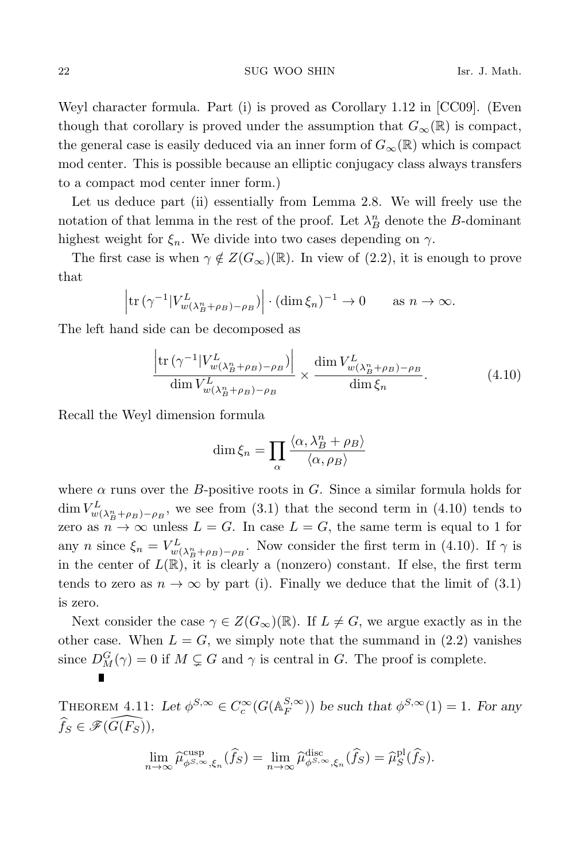Weyl character formula. Part (i) is proved as Corollary 1.12 in [CC09]. (Even though that corollary is proved under the assumption that  $G_{\infty}(\mathbb{R})$  is compact, the general case is easily deduced via an inner form of  $G_{\infty}(\mathbb{R})$  which is compact mod center. This is possible because an elliptic conjugacy class always transfers to a compact mod center inner form.)

Let us deduce part (ii) essentially from Lemma 2.8. We will freely use the notation of that lemma in the rest of the proof. Let  $\lambda_B^n$  denote the B-dominant highest weight for  $\xi_n$ . We divide into two cases depending on  $\gamma$ .

The first case is when  $\gamma \notin Z(G_{\infty})(\mathbb{R})$ . In view of (2.2), it is enough to prove that

$$
|\operatorname{tr} (\gamma^{-1} |V_{w(\lambda_B^n + \rho_B) - \rho_B}^L)| \cdot (\dim \xi_n)^{-1} \to 0 \quad \text{as } n \to \infty.
$$

The left hand side can be decomposed as

$$
\frac{\left|\text{tr}\left(\gamma^{-1}|V_{w(\lambda_{B}^{n}+\rho_{B})-\rho_{B}}^{L}\right)\right|}{\dim V_{w(\lambda_{B}^{n}+\rho_{B})-\rho_{B}}^{L}} \times \frac{\dim V_{w(\lambda_{B}^{n}+\rho_{B})-\rho_{B}}^{L}}{\dim \xi_{n}}.\tag{4.10}
$$

Recall the Weyl dimension formula

$$
\dim \xi_n = \prod_{\alpha} \frac{\langle \alpha, \lambda_B^n + \rho_B \rangle}{\langle \alpha, \rho_B \rangle}
$$

where  $\alpha$  runs over the B-positive roots in G. Since a similar formula holds for  $\dim V^L_{w(\lambda_B^n+\rho_B)-\rho_B}$ , we see from (3.1) that the second term in (4.10) tends to zero as  $n \to \infty$  unless  $L = G$ . In case  $L = G$ , the same term is equal to 1 for any *n* since  $\xi_n = V^L_{w(\lambda_B^n + \rho_B) - \rho_B}$ . Now consider the first term in (4.10). If  $\gamma$  is in the center of  $L(\mathbb{R})$ , it is clearly a (nonzero) constant. If else, the first term tends to zero as  $n \to \infty$  by part (i). Finally we deduce that the limit of (3.1) is zero.

Next consider the case  $\gamma \in Z(G_{\infty})(\mathbb{R})$ . If  $L \neq G$ , we argue exactly as in the other case. When  $L = G$ , we simply note that the summand in  $(2.2)$  vanishes since  $D_M^G(\gamma) = 0$  if  $M \subsetneq G$  and  $\gamma$  is central in G. The proof is complete.

THEOREM 4.11: Let  $\phi^{S,\infty} \in C_c^{\infty}(G(\mathbb{A}_F^{S,\infty}))$  be such that  $\phi^{S,\infty}(1) = 1$ . For any  $\widehat{f}_S \in \mathscr{F}(\widehat{G(F_S)}),$ 

$$
\lim_{n\to\infty}\widehat{\mu}^{\mathrm{cusp}}_{\phi^{S,\infty},\xi_n}(\widehat{f}_S) = \lim_{n\to\infty}\widehat{\mu}^{\mathrm{disc}}_{\phi^{S,\infty},\xi_n}(\widehat{f}_S) = \widehat{\mu}^{\mathrm{pl}}_S(\widehat{f}_S).
$$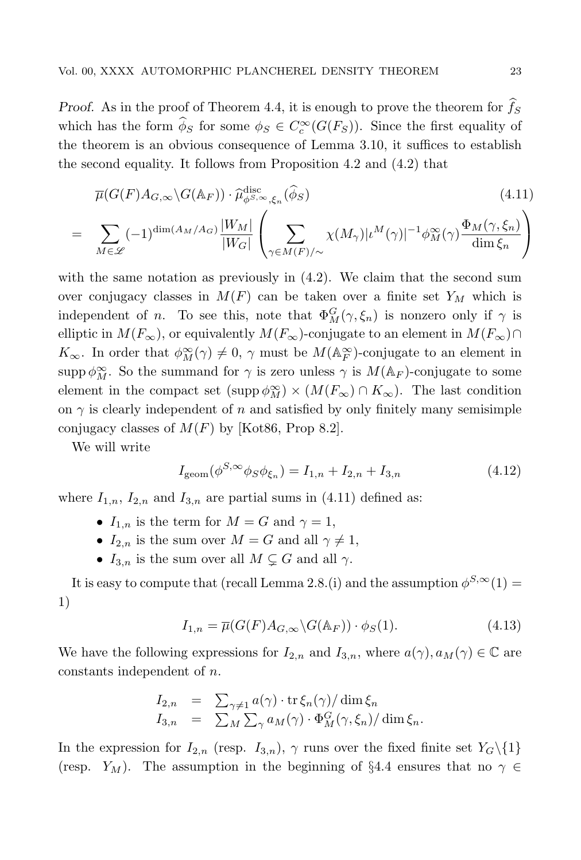Proof. As in the proof of Theorem 4.4, it is enough to prove the theorem for  $\widehat{f}_S$ which has the form  $\phi_S$  for some  $\phi_S \in C_c^{\infty}(G(F_S))$ . Since the first equality of the theorem is an obvious consequence of Lemma 3.10, it suffices to establish the second equality. It follows from Proposition 4.2 and (4.2) that

$$
\overline{\mu}(G(F)A_{G,\infty}\backslash G(\mathbb{A}_F)) \cdot \widehat{\mu}_{\phi^{S,\infty},\xi_n}^{\text{disc}}(\widehat{\phi}_S)
$$
\n(4.11)

$$
= \sum_{M \in \mathscr{L}} (-1)^{\dim(A_M/A_G)} \frac{|W_M|}{|W_G|} \left( \sum_{\gamma \in M(F)/\sim} \chi(M_\gamma) |\iota^M(\gamma)|^{-1} \phi_M^{\infty}(\gamma) \frac{\Phi_M(\gamma, \xi_n)}{\dim \xi_n} \right)
$$

with the same notation as previously in  $(4.2)$ . We claim that the second sum over conjugacy classes in  $M(F)$  can be taken over a finite set  $Y_M$  which is independent of *n*. To see this, note that  $\Phi_M^G(\gamma, \xi_n)$  is nonzero only if  $\gamma$  is elliptic in  $M(F_{\infty})$ , or equivalently  $M(F_{\infty})$ -conjugate to an element in  $M(F_{\infty}) \cap$  $K_{\infty}$ . In order that  $\phi_M^{\infty}(\gamma) \neq 0$ ,  $\gamma$  must be  $M(\mathbb{A}_F^{\infty})$ -conjugate to an element in supp  $\phi_M^{\infty}$ . So the summand for  $\gamma$  is zero unless  $\gamma$  is  $M(\mathbb{A}_F)$ -conjugate to some element in the compact set  $(\text{supp }\phi_M^{\infty}) \times (M(F_{\infty}) \cap K_{\infty})$ . The last condition on  $\gamma$  is clearly independent of n and satisfied by only finitely many semisimple conjugacy classes of  $M(F)$  by [Kot86, Prop 8.2].

We will write

$$
I_{\text{geom}}(\phi^{S,\infty}\phi_S\phi_{\xi_n}) = I_{1,n} + I_{2,n} + I_{3,n}
$$
\n(4.12)

where  $I_{1,n}$ ,  $I_{2,n}$  and  $I_{3,n}$  are partial sums in (4.11) defined as:

- $I_{1,n}$  is the term for  $M = G$  and  $\gamma = 1$ ,
- $I_{2,n}$  is the sum over  $M = G$  and all  $\gamma \neq 1$ ,
- $I_{3,n}$  is the sum over all  $M \subsetneq G$  and all  $\gamma$ .

It is easy to compute that (recall Lemma 2.8.(i) and the assumption  $\phi^{S,\infty}(1)$  = 1)

$$
I_{1,n} = \overline{\mu}(G(F)A_{G,\infty}\backslash G(\mathbb{A}_F)) \cdot \phi_S(1). \tag{4.13}
$$

We have the following expressions for  $I_{2,n}$  and  $I_{3,n}$ , where  $a(\gamma), a_M(\gamma) \in \mathbb{C}$  are constants independent of n.

$$
I_{2,n} = \sum_{\gamma \neq 1} a(\gamma) \cdot \operatorname{tr} \xi_n(\gamma) / \dim \xi_n
$$
  
\n
$$
I_{3,n} = \sum_M \sum_{\gamma} a_M(\gamma) \cdot \Phi_M^G(\gamma, \xi_n) / \dim \xi_n.
$$

In the expression for  $I_{2,n}$  (resp.  $I_{3,n}$ ),  $\gamma$  runs over the fixed finite set  $Y_G\setminus\{1\}$ (resp.  $Y_M$ ). The assumption in the beginning of §4.4 ensures that no  $\gamma \in$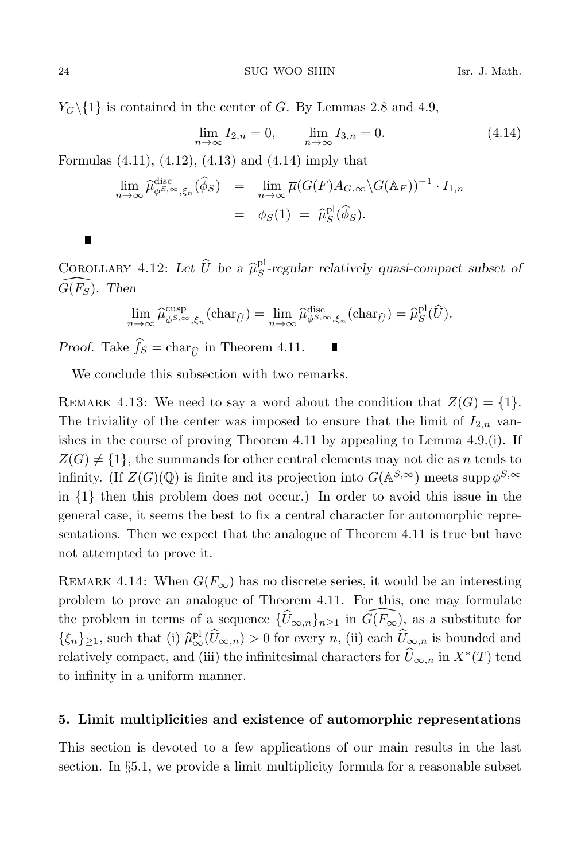$Y_G \setminus \{1\}$  is contained in the center of G. By Lemmas 2.8 and 4.9,

$$
\lim_{n \to \infty} I_{2,n} = 0, \qquad \lim_{n \to \infty} I_{3,n} = 0.
$$
\n(4.14)

Formulas (4.11), (4.12), (4.13) and (4.14) imply that

$$
\lim_{n \to \infty} \widehat{\mu}_{\phi^{S,\infty},\xi_n}^{\text{disc}}(\widehat{\phi}_S) = \lim_{n \to \infty} \overline{\mu}(G(F)A_{G,\infty} \backslash G(\mathbb{A}_F))^{-1} \cdot I_{1,n}
$$

$$
= \phi_S(1) = \widehat{\mu}_S^{\text{pl}}(\widehat{\phi}_S).
$$

П

COROLLARY 4.12: Let  $\widehat{U}$  be a  $\widehat{\mu}_{S}^{\text{pl}}$ -regular relatively quasi-compact subset of  $G(F_S)$ . Then

$$
\lim_{n \to \infty} \widehat{\mu}_{\phi^{S,\infty},\xi_n}^{\text{cusp}}(\text{char}_{\widehat{U}}) = \lim_{n \to \infty} \widehat{\mu}_{\phi^{S,\infty},\xi_n}^{\text{disc}}(\text{char}_{\widehat{U}}) = \widehat{\mu}_S^{\text{pl}}(\widehat{U}).
$$

*Proof.* Take  $\hat{f}_S = \text{char}_{\hat{\mathcal{U}}}$  in Theorem 4.11.

We conclude this subsection with two remarks.

REMARK 4.13: We need to say a word about the condition that  $Z(G) = \{1\}.$ The triviality of the center was imposed to ensure that the limit of  $I_{2,n}$  vanishes in the course of proving Theorem 4.11 by appealing to Lemma 4.9.(i). If  $Z(G) \neq \{1\}$ , the summands for other central elements may not die as n tends to infinity. (If  $Z(G)(\mathbb{Q})$  is finite and its projection into  $G(\mathbb{A}^{S,\infty})$  meets supp  $\phi^{S,\infty}$ in {1} then this problem does not occur.) In order to avoid this issue in the general case, it seems the best to fix a central character for automorphic representations. Then we expect that the analogue of Theorem 4.11 is true but have not attempted to prove it.

REMARK 4.14: When  $G(F_{\infty})$  has no discrete series, it would be an interesting problem to prove an analogue of Theorem 4.11. For this, one may formulate the problem in terms of a sequence  $\{\widehat{U}_{\infty,n}\}_{n\geq 1}$  in  $\widehat{G(F_{\infty})}$ , as a substitute for  $\{\xi_n\}_{\geq 1}$ , such that (i)  $\hat{\mu}_{\infty,n}^{pl}(\hat{U}_{\infty,n}) > 0$  for every n, (ii) each  $\hat{U}_{\infty,n}$  is bounded and relatively compact, and (iii) the infinitesimal characters for  $\widehat{U}_{\infty,n}$  in  $X^*(T)$  tend to infinity in a uniform manner.

### 5. Limit multiplicities and existence of automorphic representations

This section is devoted to a few applications of our main results in the last section. In §5.1, we provide a limit multiplicity formula for a reasonable subset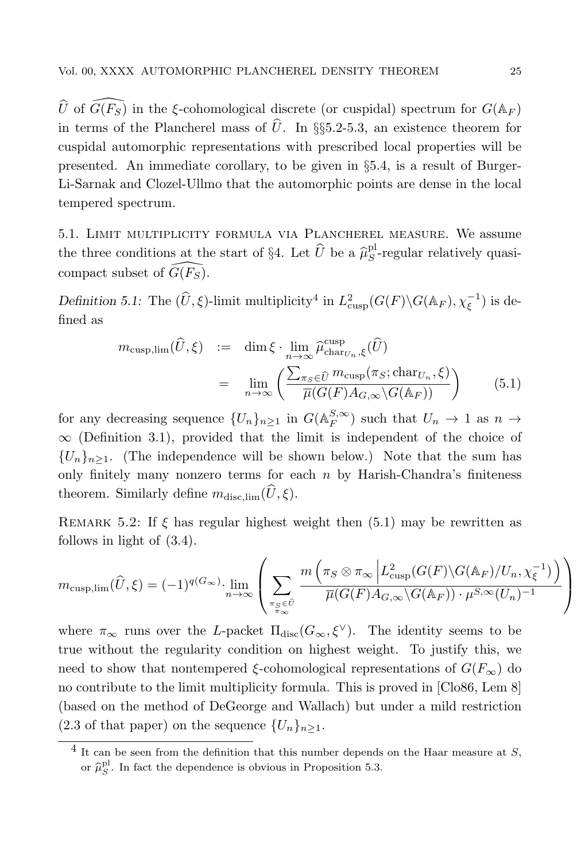$\widehat{U}$  of  $\widehat{G(F_S)}$  in the ξ-cohomological discrete (or cuspidal) spectrum for  $G(\mathbb{A}_F)$ in terms of the Plancherel mass of  $\hat{U}$ . In §§5.2-5.3, an existence theorem for cuspidal automorphic representations with prescribed local properties will be presented. An immediate corollary, to be given in §5.4, is a result of Burger-Li-Sarnak and Clozel-Ullmo that the automorphic points are dense in the local tempered spectrum.

5.1. Limit multiplicity formula via Plancherel measure. We assume the three conditions at the start of §4. Let  $\widehat{U}$  be a  $\widehat{\mu}_{S}^{\text{pl}}$ -regular relatively quasicompact subset of  $\widehat{G(F_S)}$ .

Definition 5.1: The  $(\widehat{U}, \xi)$ -limit multiplicity<sup>4</sup> in  $L^2_{\text{cusp}}(G(F) \backslash G(\mathbb{A}_F), \chi_{\xi}^{-1})$  is defined as

$$
m_{\text{cusp},\text{lim}}(\widehat{U}, \xi) := \dim \xi \cdot \lim_{n \to \infty} \widehat{\mu}_{\text{char}_{U_n}, \xi}^{\text{cusp}}(\widehat{U})
$$
  

$$
= \lim_{n \to \infty} \left( \frac{\sum_{\pi_S \in \widehat{U}} m_{\text{cusp}}(\pi_S; \text{char}_{U_n}, \xi)}{\overline{\mu}(G(F)A_{G, \infty} \backslash G(\mathbb{A}_F))} \right)
$$
(5.1)

for any decreasing sequence  $\{U_n\}_{n\geq 1}$  in  $G(\mathbb{A}_F^{S,\infty})$  such that  $U_n \to 1$  as  $n \to \infty$  $\infty$  (Definition 3.1), provided that the limit is independent of the choice of  ${U_n}_{n\geq 1}$ . (The independence will be shown below.) Note that the sum has only finitely many nonzero terms for each  $n$  by Harish-Chandra's finiteness theorem. Similarly define  $m_{disc,lim}(\widehat{U}, \xi)$ .

REMARK 5.2: If  $\xi$  has regular highest weight then (5.1) may be rewritten as follows in light of (3.4).

$$
m_{\text{cusp,lim}}(\widehat{U}, \xi) = (-1)^{q(G_{\infty})} \cdot \lim_{n \to \infty} \left( \sum_{\substack{\pi_S \in \widehat{U} \\ \pi_{\infty}}} \frac{m\left(\pi_S \otimes \pi_\infty \middle| L^2_{\text{cusp}}(G(F) \backslash G(\mathbb{A}_F) / U_n, \chi_\xi^{-1})\right)}{\overline{\mu}(G(F) A_{G, \infty} \backslash G(\mathbb{A}_F)) \cdot \mu^{S, \infty}(U_n)^{-1}} \right)
$$

where  $\pi_{\infty}$  runs over the L-packet  $\Pi_{disc}(G_{\infty}, \xi^{\vee})$ . The identity seems to be true without the regularity condition on highest weight. To justify this, we need to show that nontempered  $\xi$ -cohomological representations of  $G(F_{\infty})$  do no contribute to the limit multiplicity formula. This is proved in [Clo86, Lem 8] (based on the method of DeGeorge and Wallach) but under a mild restriction  $(2.3 \text{ of that paper})$  on the sequence  $\{U_n\}_{n\geq 1}$ .

 $\frac{4}{1}$  It can be seen from the definition that this number depends on the Haar measure at S, or  $\hat{\mu}_S^{\text{pl}}$ . In fact the dependence is obvious in Proposition 5.3.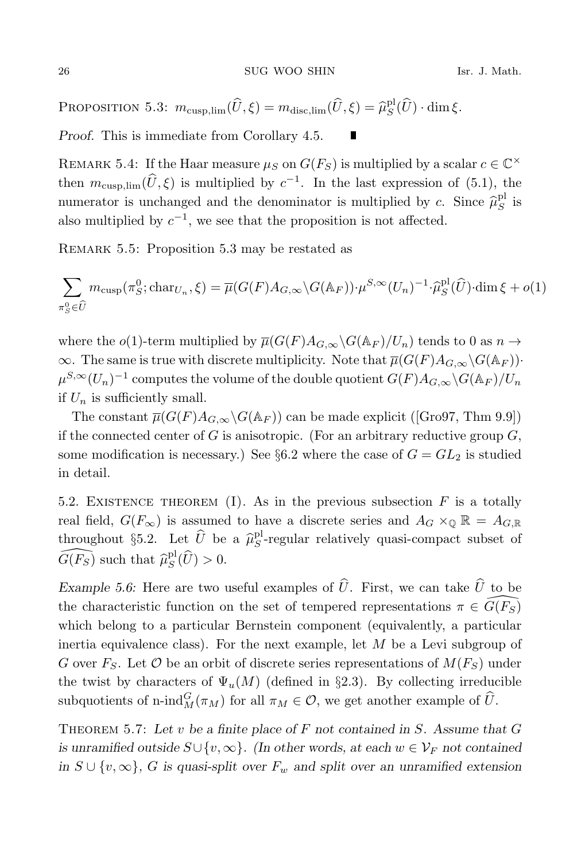PROPOSITION 5.3:  $m_{\text{cusp,lim}}(\widehat{U}, \xi) = m_{\text{disc,lim}}(\widehat{U}, \xi) = \widehat{\mu}_{S}^{\text{pl}}(\widehat{U}) \cdot \dim \xi$ .

Proof. This is immediate from Corollary 4.5.

REMARK 5.4: If the Haar measure  $\mu_S$  on  $G(F_S)$  is multiplied by a scalar  $c \in \mathbb{C}^\times$ then  $m_{\text{cusp,lim}}(\hat{U}, \xi)$  is multiplied by  $c^{-1}$ . In the last expression of (5.1), the numerator is unchanged and the denominator is multiplied by c. Since  $\hat{\mu}_S^{\text{pl}}$  is also multiplied by  $c^{-1}$ , we see that the proposition is not affected.

П

Remark 5.5: Proposition 5.3 may be restated as

$$
\sum_{\pi_S^0 \in \widehat{U}} m_{\text{cusp}}(\pi_S^0; \text{char}_{U_n}, \xi) = \overline{\mu}(G(F)A_{G,\infty} \backslash G(\mathbb{A}_F)) \cdot \mu^{S,\infty}(U_n)^{-1} \cdot \widehat{\mu}_S^{\text{pl}}(\widehat{U}) \cdot \dim \xi + o(1)
$$

where the o(1)-term multiplied by  $\overline{\mu}(G(F)A_{G,\infty}\backslash G(\mathbb{A}_F)/U_n)$  tends to 0 as  $n \to$  $\infty$ . The same is true with discrete multiplicity. Note that  $\overline{\mu}(G(F)A_{G,\infty}\backslash G(\mathbb{A}_F))$ .  $\mu^{S, \infty}(U_n)^{-1}$  computes the volume of the double quotient  $G(F)A_{G,\infty}\backslash G(\mathbb{A}_F)/U_n$ if  $U_n$  is sufficiently small.

The constant  $\overline{\mu}(G(F)A_{G,\infty}\backslash G(\mathbb{A}_F))$  can be made explicit ([Gro97, Thm 9.9]) if the connected center of G is anisotropic. (For an arbitrary reductive group  $G$ , some modification is necessary.) See §6.2 where the case of  $G = GL_2$  is studied in detail.

5.2. EXISTENCE THEOREM (I). As in the previous subsection  $F$  is a totally real field,  $G(F_{\infty})$  is assumed to have a discrete series and  $A_G \times_{\mathbb{Q}} \mathbb{R} = A_{G,\mathbb{R}}$ throughout §5.2. Let  $\hat{U}$  be a  $\hat{\mu}_S^{\text{pl}}$ -regular relatively quasi-compact subset of  $\widehat{G(F_S)}$  such that  $\widehat{\mu}_S^{\text{pl}}(\widehat{U}) > 0$ .

Example 5.6: Here are two useful examples of  $\hat{U}$ . First, we can take  $\hat{U}$  to be the characteristic function on the set of tempered representations  $\pi \in \widehat{G}(F_{S})$ which belong to a particular Bernstein component (equivalently, a particular inertia equivalence class). For the next example, let M be a Levi subgroup of G over  $F_S$ . Let  $\mathcal O$  be an orbit of discrete series representations of  $M(F_S)$  under the twist by characters of  $\Psi_u(M)$  (defined in §2.3). By collecting irreducible subquotients of n-ind $_M^G(\pi_M)$  for all  $\pi_M \in \mathcal{O}$ , we get another example of  $\widehat{U}$ .

THEOREM 5.7: Let v be a finite place of F not contained in S. Assume that  $G$ is unramified outside  $S\cup \{v,\infty\}$ . (In other words, at each  $w\in \mathcal{V}_F$  not contained in  $S \cup \{v, \infty\}$ , G is quasi-split over  $F_w$  and split over an unramified extension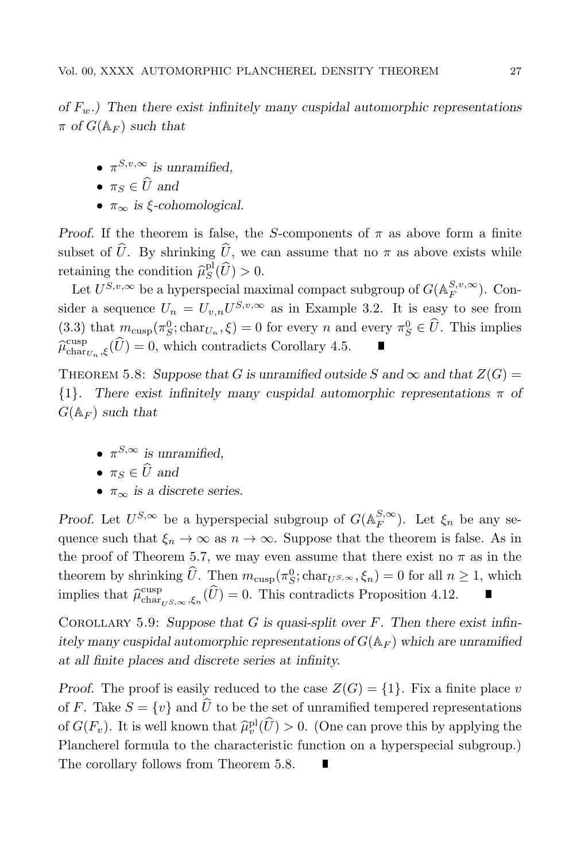of  $F_{w}$ .) Then there exist infinitely many cuspidal automorphic representations  $\pi$  of  $G(\mathbb{A}_F)$  such that

- $\pi^{S,v,\infty}$  is unramified,
- $\pi_s \in \widehat{U}$  and
- $\pi_{\infty}$  is *ξ*-cohomological.

*Proof.* If the theorem is false, the S-components of  $\pi$  as above form a finite subset of  $\hat{U}$ . By shrinking  $\hat{U}$ , we can assume that no  $\pi$  as above exists while retaining the condition  $\widehat{\mu}_S^{\text{pl}}(\widehat{U}) > 0$ .

Let  $U^{S,v,\infty}$  be a hyperspecial maximal compact subgroup of  $G(\mathbb{A}_F^{S,v,\infty})$ . Consider a sequence  $U_n = U_{v,n}U^{S,v,\infty}$  as in Example 3.2. It is easy to see from (3.3) that  $m_{\text{cusp}}(\pi_S^0; \text{char}_{U_n}, \xi) = 0$  for every n and every  $\pi_S^0 \in \hat{U}$ . This implies  $\widehat{\mu}_{\text{char}_{U_n},\xi}^{\text{cusp}}(\widehat{U})=0$ , which contradicts Corollary 4.5.

THEOREM 5.8: Suppose that G is unramified outside S and  $\infty$  and that  $Z(G)$  =  ${1}$ . There exist infinitely many cuspidal automorphic representations  $\pi$  of  $G(\mathbb{A}_F)$  such that

•  $\pi^{S,\infty}$  is unramified,

• 
$$
\pi_S \in U
$$
 and

•  $\pi_{\infty}$  is a discrete series.

Proof. Let  $U^{S,\infty}$  be a hyperspecial subgroup of  $G(\mathbb{A}_F^{S,\infty})$ . Let  $\xi_n$  be any sequence such that  $\xi_n \to \infty$  as  $n \to \infty$ . Suppose that the theorem is false. As in the proof of Theorem 5.7, we may even assume that there exist no  $\pi$  as in the theorem by shrinking  $\hat{U}$ . Then  $m_{\text{cusp}}(\pi_S^0; \text{char}_{U^{S,\infty}}, \xi_n) = 0$  for all  $n \geq 1$ , which implies that  $\hat{\mu}_{char_{U}S,\infty,\xi_n}^{\text{cusp}}(\hat{U})=0$ . This contradicts Proposition 4.12.

COROLLARY 5.9: Suppose that G is quasi-split over  $F$ . Then there exist infinitely many cuspidal automorphic representations of  $G(\mathbb{A}_F)$  which are unramified at all finite places and discrete series at infinity.

Proof. The proof is easily reduced to the case  $Z(G) = \{1\}$ . Fix a finite place v of F. Take  $S = \{v\}$  and  $\widehat{U}$  to be the set of unramified tempered representations of  $G(F_v)$ . It is well known that  $\hat{\mu}_v^{\text{pl}}(\hat{U}) > 0$ . (One can prove this by applying the Plancherel formula to the characteristic function on a hyperspecial subgroup.) The corollary follows from Theorem 5.8.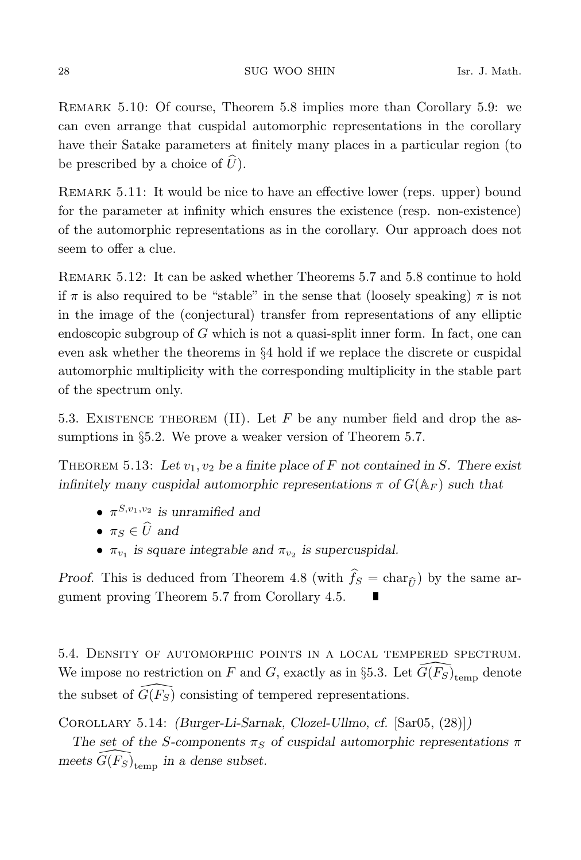Remark 5.10: Of course, Theorem 5.8 implies more than Corollary 5.9: we can even arrange that cuspidal automorphic representations in the corollary have their Satake parameters at finitely many places in a particular region (to be prescribed by a choice of  $\widehat{U}$ ).

REMARK 5.11: It would be nice to have an effective lower (reps. upper) bound for the parameter at infinity which ensures the existence (resp. non-existence) of the automorphic representations as in the corollary. Our approach does not seem to offer a clue.

Remark 5.12: It can be asked whether Theorems 5.7 and 5.8 continue to hold if  $\pi$  is also required to be "stable" in the sense that (loosely speaking)  $\pi$  is not in the image of the (conjectural) transfer from representations of any elliptic endoscopic subgroup of  $G$  which is not a quasi-split inner form. In fact, one can even ask whether the theorems in §4 hold if we replace the discrete or cuspidal automorphic multiplicity with the corresponding multiplicity in the stable part of the spectrum only.

5.3. EXISTENCE THEOREM (II). Let  $F$  be any number field and drop the assumptions in §5.2. We prove a weaker version of Theorem 5.7.

THEOREM 5.13: Let  $v_1, v_2$  be a finite place of F not contained in S. There exist infinitely many cuspidal automorphic representations  $\pi$  of  $G(\mathbb{A}_F)$  such that

- $\pi^{S,v_1,v_2}$  is unramified and
- $\pi_s \in \widehat{U}$  and
- $\pi_{v_1}$  is square integrable and  $\pi_{v_2}$  is supercuspidal.

*Proof.* This is deduced from Theorem 4.8 (with  $\hat{f}_S = \text{char}_{\hat{\theta}}$ ) by the same argument proving Theorem 5.7 from Corollary 4.5.

5.4. Density of automorphic points in a local tempered spectrum. We impose no restriction on F and G, exactly as in §5.3. Let  $\widehat{G(F_S)}_{\rm temp}$  denote the subset of  $\widehat{G(F_S)}$  consisting of tempered representations.

Corollary 5.14: (Burger-Li-Sarnak, Clozel-Ullmo, cf. [Sar05, (28)])

The set of the S-components  $\pi_S$  of cuspidal automorphic representations  $\pi$ meets  $\widehat{G(F_S)}_{\text{temp}}$  in a dense subset.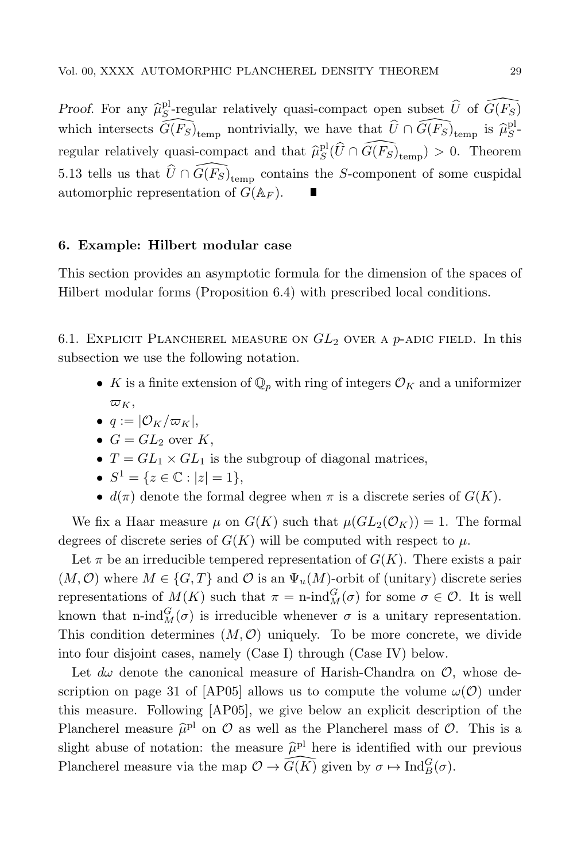*Proof.* For any  $\widehat{\mu}_S^{\text{pl}}$ -regular relatively quasi-compact open subset  $\widehat{U}$  of  $\widehat{G(F_S)}$ which intersects  $\widehat{G(F_S)}_{\text{temp}}$  nontrivially, we have that  $\widehat{U} \cap \widehat{G(F_S)}_{\text{temp}}$  is  $\widehat{\mu}_S^{\text{pl}}$ regular relatively quasi-compact and that  $\hat{\mu}_S^{\text{pl}}(\hat{U} \cap \widehat{G(F_S)}_{\text{temp}}) > 0$ . Theorem 5.13 tells us that  $\widehat{U} \cap \widehat{G(F_S)}_{\text{temp}}$  contains the S-component of some cuspidal automorphic representation of  $G(\mathbb{A}_F)$ .

### 6. Example: Hilbert modular case

This section provides an asymptotic formula for the dimension of the spaces of Hilbert modular forms (Proposition 6.4) with prescribed local conditions.

6.1. EXPLICIT PLANCHEREL MEASURE ON  $GL_2$  over a p-adic field. In this subsection we use the following notation.

- K is a finite extension of  $\mathbb{Q}_p$  with ring of integers  $\mathcal{O}_K$  and a uniformizer  $\varpi_K$ ,
- $q := |\mathcal{O}_K/\varpi_K|$
- $G = GL_2$  over K,
- $T = GL_1 \times GL_1$  is the subgroup of diagonal matrices,
- $S^1 = \{z \in \mathbb{C} : |z| = 1\},\$
- $d(\pi)$  denote the formal degree when  $\pi$  is a discrete series of  $G(K)$ .

We fix a Haar measure  $\mu$  on  $G(K)$  such that  $\mu(GL_2(\mathcal{O}_K)) = 1$ . The formal degrees of discrete series of  $G(K)$  will be computed with respect to  $\mu$ .

Let  $\pi$  be an irreducible tempered representation of  $G(K)$ . There exists a pair  $(M, \mathcal{O})$  where  $M \in \{G, T\}$  and  $\mathcal O$  is an  $\Psi_u(M)$ -orbit of (unitary) discrete series representations of  $M(K)$  such that  $\pi = \text{n-ind}_{M}^{G}(\sigma)$  for some  $\sigma \in \mathcal{O}$ . It is well known that n-ind $_M^G(\sigma)$  is irreducible whenever  $\sigma$  is a unitary representation. This condition determines  $(M, \mathcal{O})$  uniquely. To be more concrete, we divide into four disjoint cases, namely (Case I) through (Case IV) below.

Let  $d\omega$  denote the canonical measure of Harish-Chandra on  $\mathcal{O}$ , whose description on page 31 of [AP05] allows us to compute the volume  $\omega(\mathcal{O})$  under this measure. Following [AP05], we give below an explicit description of the Plancherel measure  $\hat{\mu}^{pl}$  on  $\hat{O}$  as well as the Plancherel mass of  $\hat{O}$ . This is a slight abuse of notation: the measure  $\hat{\mu}^{\text{pl}}$  here is identified with our previous Plancherel measure via the map  $\mathcal{O} \to \widehat{G(K)}$  given by  $\sigma \mapsto \text{Ind}_{B}^{G}(\sigma)$ .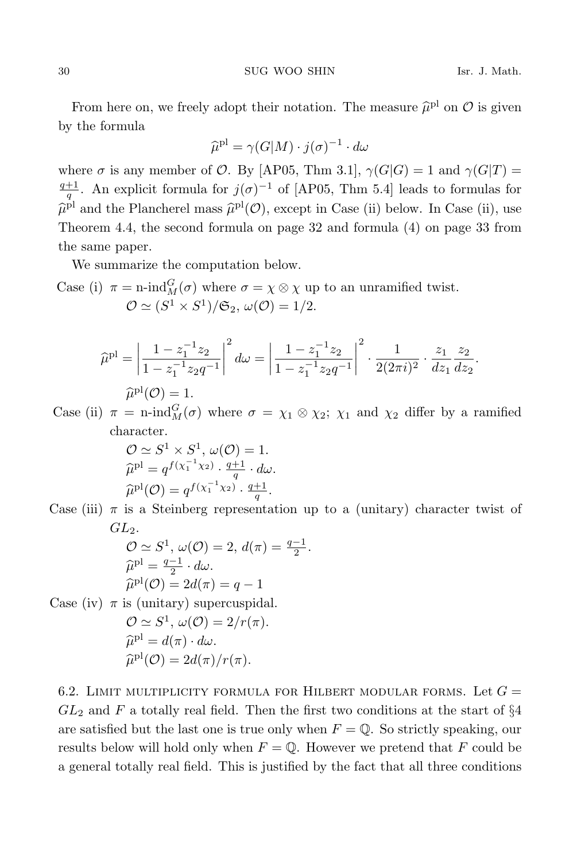From here on, we freely adopt their notation. The measure  $\hat{\mu}^{\text{pl}}$  on  $\mathcal{O}$  is given by the formula

$$
\widehat{\mu}^{\text{pl}} = \gamma(G|M) \cdot j(\sigma)^{-1} \cdot d\omega
$$

where  $\sigma$  is any member of  $\mathcal{O}$ . By [AP05, Thm 3.1],  $\gamma(G|G) = 1$  and  $\gamma(G|T) =$  $\frac{q+1}{q}$ . An explicit formula for  $j(\sigma)^{-1}$  of [AP05, Thm 5.4] leads to formulas for  $\hat{\mu}^{\text{pl}}$  and the Plancherel mass  $\hat{\mu}^{\text{pl}}(\mathcal{O})$ , except in Case (ii) below. In Case (ii), use Theorem 4.4, the second formula on page 32 and formula (4) on page 33 from the same paper.

We summarize the computation below.

Case (i) 
$$
\pi = \text{n-ind}_M^G(\sigma)
$$
 where  $\sigma = \chi \otimes \chi$  up to an unramified twist.  
\n $\mathcal{O} \simeq (S^1 \times S^1)/\mathfrak{S}_2$ ,  $\omega(\mathcal{O}) = 1/2$ .

$$
\widehat{\mu}^{\text{pl}} = \left| \frac{1 - z_1^{-1} z_2}{1 - z_1^{-1} z_2 q^{-1}} \right|^2 d\omega = \left| \frac{1 - z_1^{-1} z_2}{1 - z_1^{-1} z_2 q^{-1}} \right|^2 \cdot \frac{1}{2(2\pi i)^2} \cdot \frac{z_1}{z_1} \frac{z_2}{z_2}.
$$

$$
\widehat{\mu}^{\text{pl}}(\mathcal{O}) = 1.
$$

 $\hat{\mu}^{\text{pl}}(\mathcal{O}) = 1.$ <br>Case (ii)  $\pi = \text{n-ind}_{M}^{G}(\sigma)$  where  $\sigma = \chi_1 \otimes \chi_2$ ;  $\chi_1$  and  $\chi_2$  differ by a ramified character.

$$
\mathcal{O} \simeq S^1 \times S^1, \ \omega(\mathcal{O}) = 1.
$$
  

$$
\widehat{\mu}^{\text{pl}} = q^{f(x_1^{-1}x_2)} \cdot \frac{q+1}{q} \cdot d\omega.
$$
  

$$
\widehat{\mu}^{\text{pl}}(\mathcal{O}) = q^{f(x_1^{-1}x_2)} \cdot \frac{q+1}{q}.
$$

 $\hat{\mu}^{pl}(\mathcal{O}) = q^{f(\chi_1 + \chi_2)} \cdot \frac{q+1}{q}$ .<br>Case (iii)  $\pi$  is a Steinberg representation up to a (unitary) character twist of  $GL_2$ .

$$
\mathcal{O} \simeq S^1, \ \omega(\mathcal{O}) = 2, \ d(\pi) = \frac{q-1}{2}.
$$

$$
\widehat{\mu}^{\text{pl}} = \frac{q-1}{2} \cdot d\omega.
$$

$$
\widehat{\mu}^{\text{pl}}(\mathcal{O}) = 2d(\pi) = q - 1
$$

 $\widehat{\mu}^{\text{pl}}(\mathcal{O}) = 2d(\pi) = q - 1$ <br>Case (iv)  $\pi$  is (unitary) supercuspidal.  $\mathcal{O} \simeq S^1$ ,  $\omega(\mathcal{O}) = 2/r(\pi)$ .  $\widehat{\mu}^{\text{pl}} = d(\pi) \cdot d\omega.$ <br>  $\widehat{\lambda}^{\text{pl}}(\mathscr{D}) = 0.1$ 

$$
\hat{\mu}^{\text{pl}}(\mathcal{O}) = 2d(\pi)/r(\pi).
$$

6.2. LIMIT MULTIPLICITY FORMULA FOR HILBERT MODULAR FORMS. Let  $G =$  $GL_2$  and F a totally real field. Then the first two conditions at the start of §4 are satisfied but the last one is true only when  $F = \mathbb{Q}$ . So strictly speaking, our results below will hold only when  $F = \mathbb{Q}$ . However we pretend that F could be a general totally real field. This is justified by the fact that all three conditions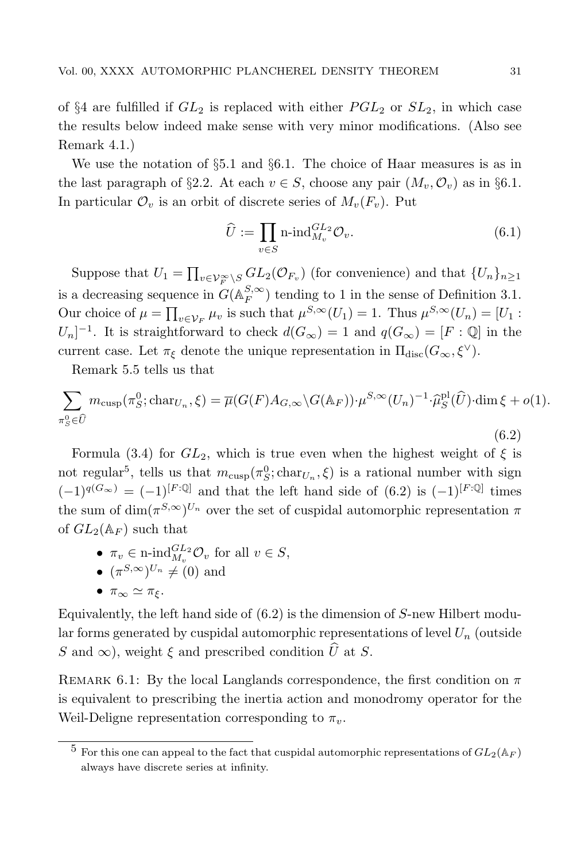of §4 are fulfilled if  $GL_2$  is replaced with either  $PGL_2$  or  $SL_2$ , in which case the results below indeed make sense with very minor modifications. (Also see Remark 4.1.)

We use the notation of §5.1 and §6.1. The choice of Haar measures is as in the last paragraph of §2.2. At each  $v \in S$ , choose any pair  $(M_v, \mathcal{O}_v)$  as in §6.1. In particular  $\mathcal{O}_v$  is an orbit of discrete series of  $M_v(F_v)$ . Put

$$
\widehat{U} := \prod_{v \in S} \text{n-ind}_{M_v}^{GL_2} \mathcal{O}_v. \tag{6.1}
$$

Suppose that  $U_1 = \prod_{v \in \mathcal{V}_F^{\infty} \backslash S} GL_2(\mathcal{O}_{F_v})$  (for convenience) and that  $\{U_n\}_{n \geq 1}$ is a decreasing sequence in  $G(\mathbb{A}_F^{S,\infty})$  tending to 1 in the sense of Definition 3.1. Our choice of  $\mu = \prod_{v \in V_F} \mu_v$  is such that  $\mu^{S, \infty}(U_1) = 1$ . Thus  $\mu^{S, \infty}(U_n) = [U_1 :$  $[U_n]^{-1}$ . It is straightforward to check  $d(G_{\infty}) = 1$  and  $q(G_{\infty}) = [F : \mathbb{Q}]$  in the current case. Let  $\pi_{\xi}$  denote the unique representation in  $\Pi_{disc}(G_{\infty}, \xi^{\vee}).$ 

Remark 5.5 tells us that

$$
\sum_{\pi_S^0 \in \widehat{U}} m_{\text{cusp}}(\pi_S^0; \text{char}_{U_n}, \xi) = \overline{\mu}(G(F)A_{G,\infty} \backslash G(\mathbb{A}_F)) \cdot \mu^{S,\infty}(U_n)^{-1} \cdot \widehat{\mu}_S^{\text{pl}}(\widehat{U}) \cdot \dim \xi + o(1).
$$

Formula (3.4) for  $GL_2$ , which is true even when the highest weight of  $\xi$  is not regular<sup>5</sup>, tells us that  $m_{\text{cusp}}(\pi_S^0; \text{char}_{U_n}, \xi)$  is a rational number with sign  $(-1)^{q(G_{\infty})} = (-1)^{[F:\mathbb{Q}]}$  and that the left hand side of  $(6.2)$  is  $(-1)^{[F:\mathbb{Q}]}$  times the sum of  $\dim(\pi^{S,\infty})^{U_n}$  over the set of cuspidal automorphic representation  $\pi$ of  $GL_2(\mathbb{A}_F)$  such that

•  $\pi_v \in \text{n-ind}_{M_v}^{GL_2} \mathcal{O}_v$  for all  $v \in S$ ,

• 
$$
(\pi^{S,\infty})^{U_n} \neq (0)
$$
 and

• 
$$
\pi_{\infty} \simeq \pi_{\xi}
$$
.

Equivalently, the left hand side of  $(6.2)$  is the dimension of S-new Hilbert modular forms generated by cuspidal automorphic representations of level  $U_n$  (outside S and  $\infty$ ), weight  $\xi$  and prescribed condition  $\widehat{U}$  at S.

REMARK 6.1: By the local Langlands correspondence, the first condition on  $\pi$ is equivalent to prescribing the inertia action and monodromy operator for the Weil-Deligne representation corresponding to  $\pi_v$ .

(6.2)

<sup>&</sup>lt;sup>5</sup> For this one can appeal to the fact that cuspidal automorphic representations of  $GL_2(\mathbb{A}_F)$ always have discrete series at infinity.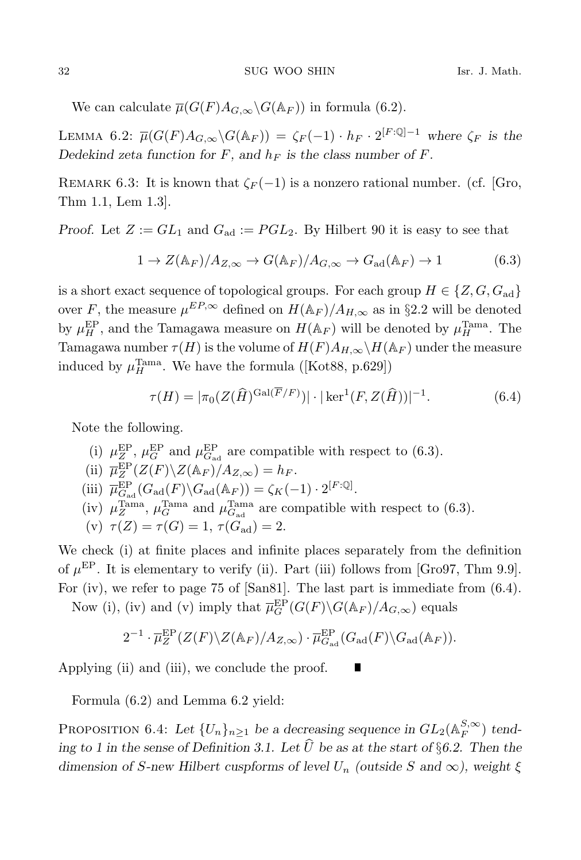We can calculate  $\overline{\mu}(G(F)A_{G,\infty}\backslash G(\mathbb{A}_F))$  in formula (6.2).

LEMMA 6.2:  $\overline{\mu}(G(F)A_{G,\infty}\backslash G(\mathbb{A}_F)) = \zeta_F(-1) \cdot h_F \cdot 2^{[F:\mathbb{Q}]-1}$  where  $\zeta_F$  is the Dedekind zeta function for F, and  $h_F$  is the class number of F.

REMARK 6.3: It is known that  $\zeta_F(-1)$  is a nonzero rational number. (cf. [Gro, Thm 1.1, Lem 1.3].

Proof. Let  $Z := GL_1$  and  $G_{ad} := PGL_2$ . By Hilbert 90 it is easy to see that

$$
1 \to Z(\mathbb{A}_F)/A_{Z,\infty} \to G(\mathbb{A}_F)/A_{G,\infty} \to G_{\text{ad}}(\mathbb{A}_F) \to 1
$$
 (6.3)

is a short exact sequence of topological groups. For each group  $H \in \{Z, G, G_{ad}\}\$ over F, the measure  $\mu^{EP,\infty}$  defined on  $H(\mathbb{A}_F)/A_{H,\infty}$  as in §2.2 will be denoted by  $\mu_H^{\rm EP}$ , and the Tamagawa measure on  $H(\mathbb{A}_F)$  will be denoted by  $\mu_H^{\rm Tama}$ . The Tamagawa number  $\tau(H)$  is the volume of  $H(F)A_{H,\infty}\backslash H(\mathbb{A}_F)$  under the measure induced by  $\mu_H^{\text{Tama}}$ . We have the formula ([Kot88, p.629])

$$
\tau(H) = |\pi_0(Z(\widehat{H})^{\text{Gal}(\overline{F}/F)})| \cdot |\ker^1(F, Z(\widehat{H}))|^{-1}.
$$
 (6.4)

Note the following.

(i)  $\mu_Z^{\rm EP}$ ,  $\mu_G^{\rm EP}$  and  $\mu_{G_{\rm ad}}^{\rm EP}$  are compatible with respect to (6.3). (ii)  $\overline{\mu}_Z^{\rm EP}(Z(F)\backslash Z(\mathbb{A}_F)/A_{Z,\infty})=h_F.$ (iii)  $\overline{\mu}_{G_{\rm ad}}^{\rm EP}(G_{\rm ad}(F)\backslash G_{\rm ad}(\mathbb{A}_F)) = \zeta_K(-1) \cdot 2^{[F:\mathbb{Q}]}$ . (iv)  $\mu_Z^{\text{Tama}}$ ,  $\mu_G^{\text{Tama}}$  and  $\mu_{G_{\text{ad}}}^{\text{Tama}}$  are compatible with respect to (6.3). (v)  $\tau(Z) = \tau(G) = 1, \tau(G_{ad}) = 2.$ 

We check (i) at finite places and infinite places separately from the definition of  $\mu^{\text{EP}}$ . It is elementary to verify (ii). Part (iii) follows from [Gro97, Thm 9.9]. For (iv), we refer to page 75 of [San81]. The last part is immediate from (6.4).

Now (i), (iv) and (v) imply that  $\overline{\mu}_G^{\rm EP}(G(F) \backslash G(\mathbb{A}_F)/A_{G,\infty})$  equals

$$
2^{-1}\cdot \overline{\mu}_{Z}^{\mathrm{EP}}(Z(F)\backslash Z(\mathbb{A}_{F})/A_{Z,\infty})\cdot \overline{\mu}_{G_{\mathrm{ad}}}^{\mathrm{EP}}(G_{\mathrm{ad}}(F)\backslash G_{\mathrm{ad}}(\mathbb{A}_{F})).
$$

Applying (ii) and (iii), we conclude the proof.

Formula (6.2) and Lemma 6.2 yield:

PROPOSITION 6.4: Let  $\{U_n\}_{n\geq 1}$  be a decreasing sequence in  $GL_2(\mathbb{A}_F^{S,\infty})$  tending to 1 in the sense of Definition 3.1. Let  $\widehat{U}$  be as at the start of §6.2. Then the dimension of S-new Hilbert cuspforms of level  $U_n$  (outside S and  $\infty$ ), weight  $\xi$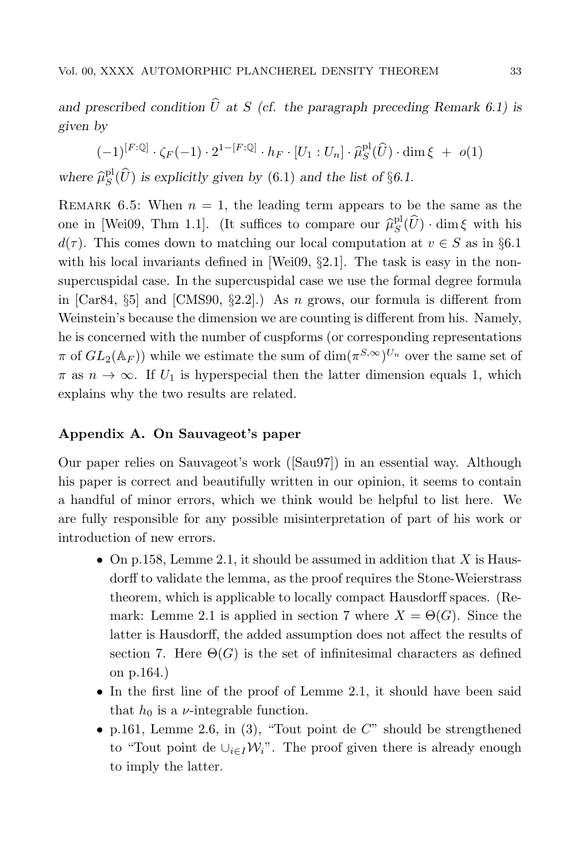and prescribed condition  $\hat{U}$  at S (cf. the paragraph preceding Remark 6.1) is given by

 $(-1)^{[F:\mathbb{Q}]} \cdot \zeta_F(-1) \cdot 2^{1-[F:\mathbb{Q}]} \cdot h_F \cdot [U_1:U_n] \cdot \hat{\mu}_S^{\text{pl}}(\widehat{U}) \cdot \dim \xi \ + \ o(1)$ where  $\hat{\mu}_S^{\text{pl}}(\hat{U})$  is explicitly given by (6.1) and the list of §6.1.

REMARK 6.5: When  $n = 1$ , the leading term appears to be the same as the one in [Wei09, Thm 1.1]. (It suffices to compare our  $\hat{\mu}_S^{\text{pl}}(\hat{U})$  · dim  $\xi$  with his  $d(\tau)$ . This comes down to matching our local computation at  $v \in S$  as in §6.1 with his local invariants defined in [Wei09,  $\S 2.1$ ]. The task is easy in the nonsupercuspidal case. In the supercuspidal case we use the formal degree formula in  $[Car84, §5]$  and  $[CMS90, §2.2]$ .) As n grows, our formula is different from Weinstein's because the dimension we are counting is different from his. Namely, he is concerned with the number of cuspforms (or corresponding representations  $\pi$  of  $GL_2(\mathbb{A}_F)$ ) while we estimate the sum of  $\dim(\pi^{S,\infty})^{U_n}$  over the same set of  $\pi$  as  $n \to \infty$ . If  $U_1$  is hyperspecial then the latter dimension equals 1, which explains why the two results are related.

### Appendix A. On Sauvageot's paper

Our paper relies on Sauvageot's work ([Sau97]) in an essential way. Although his paper is correct and beautifully written in our opinion, it seems to contain a handful of minor errors, which we think would be helpful to list here. We are fully responsible for any possible misinterpretation of part of his work or introduction of new errors.

- On p.158, Lemme 2.1, it should be assumed in addition that  $X$  is Hausdorff to validate the lemma, as the proof requires the Stone-Weierstrass theorem, which is applicable to locally compact Hausdorff spaces. (Remark: Lemme 2.1 is applied in section 7 where  $X = \Theta(G)$ . Since the latter is Hausdorff, the added assumption does not affect the results of section 7. Here  $\Theta(G)$  is the set of infinitesimal characters as defined on p.164.)
- In the first line of the proof of Lemme 2.1, it should have been said that  $h_0$  is a  $\nu$ -integrable function.
- p.161, Lemme 2.6, in  $(3)$ , "Tout point de  $C$ " should be strengthened to "Tout point de  $\cup_{i\in I} \mathcal{W}_i$ ". The proof given there is already enough to imply the latter.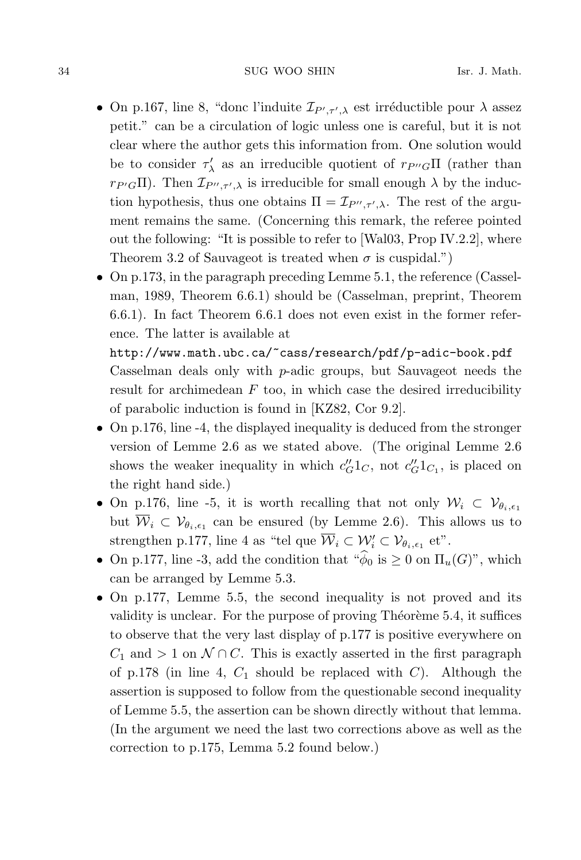- On p.167, line 8, "donc l'induite  $\mathcal{I}_{P',\tau',\lambda}$  est irréductible pour  $\lambda$  assez petit." can be a circulation of logic unless one is careful, but it is not clear where the author gets this information from. One solution would be to consider  $\tau'_{\lambda}$  as an irreducible quotient of  $r_{P''G}\Pi$  (rather than  $r_{P'G}\Pi$ ). Then  $\mathcal{I}_{P'',\tau',\lambda}$  is irreducible for small enough  $\lambda$  by the induction hypothesis, thus one obtains  $\Pi = \mathcal{I}_{P'', \tau', \lambda}$ . The rest of the argument remains the same. (Concerning this remark, the referee pointed out the following: "It is possible to refer to [Wal03, Prop IV.2.2], where Theorem 3.2 of Sauvageot is treated when  $\sigma$  is cuspidal.")
- On p.173, in the paragraph preceding Lemme 5.1, the reference (Casselman, 1989, Theorem 6.6.1) should be (Casselman, preprint, Theorem 6.6.1). In fact Theorem 6.6.1 does not even exist in the former reference. The latter is available at

http://www.math.ubc.ca/~cass/research/pdf/p-adic-book.pdf Casselman deals only with p-adic groups, but Sauvageot needs the result for archimedean  $F$  too, in which case the desired irreducibility of parabolic induction is found in [KZ82, Cor 9.2].

- On p.176, line -4, the displayed inequality is deduced from the stronger version of Lemme 2.6 as we stated above. (The original Lemme 2.6 shows the weaker inequality in which  $c''_G1_C$ , not  $c''_G1_{C_1}$ , is placed on the right hand side.)
- On p.176, line -5, it is worth recalling that not only  $W_i \subset V_{\theta_i,\epsilon_1}$ but  $\overline{\mathcal{W}}_i \subset \mathcal{V}_{\theta_i,\epsilon_1}$  can be ensured (by Lemme 2.6). This allows us to strengthen p.177, line 4 as "tel que  $\overline{\mathcal{W}}_i \subset \mathcal{W}'_i \subset \mathcal{V}_{\theta_i, \epsilon_1}$  et".
- On p.177, line -3, add the condition that  $\sqrt[\alpha]{\phi}$  is  $\geq 0$  on  $\Pi_u(G)$ ", which can be arranged by Lemme 5.3.
- On p.177, Lemme 5.5, the second inequality is not proved and its validity is unclear. For the purpose of proving Theoreme  $5.4$ , it suffices to observe that the very last display of p.177 is positive everywhere on  $C_1$  and > 1 on  $\mathcal{N} \cap C$ . This is exactly asserted in the first paragraph of p.178 (in line 4,  $C_1$  should be replaced with  $C$ ). Although the assertion is supposed to follow from the questionable second inequality of Lemme 5.5, the assertion can be shown directly without that lemma. (In the argument we need the last two corrections above as well as the correction to p.175, Lemma 5.2 found below.)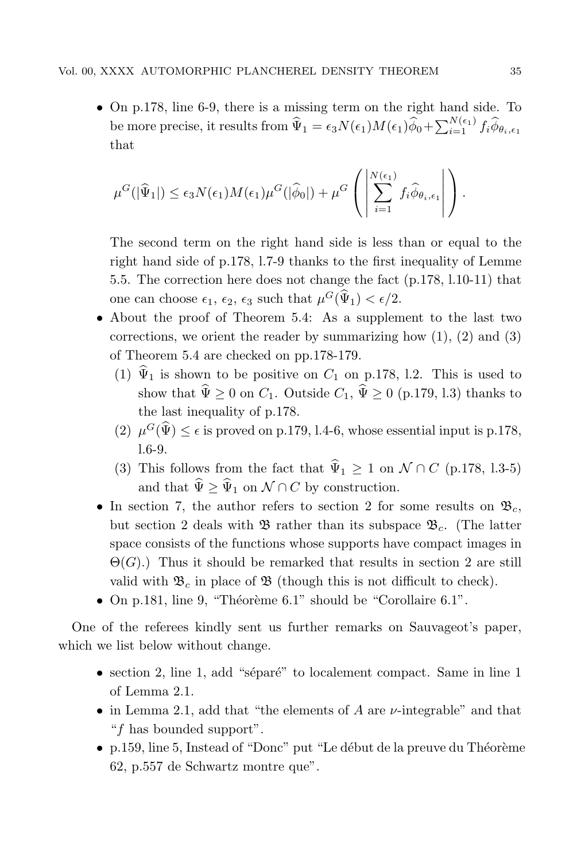• On p.178, line 6-9, there is a missing term on the right hand side. To be more precise, it results from  $\widehat{\Psi}_1 = \epsilon_3 N(\epsilon_1) M(\epsilon_1) \widehat{\phi}_0 + \sum_{i=1}^{N(\epsilon_1)} f_i \widehat{\phi}_{\theta_i, \epsilon_1}$ that

$$
\mu^G(|\widehat{\Psi}_1|) \leq \epsilon_3 N(\epsilon_1) M(\epsilon_1) \mu^G(|\widehat{\phi}_0|) + \mu^G\left(\left|\sum_{i=1}^{N(\epsilon_1)} f_i \widehat{\phi}_{\theta_i,\epsilon_1}\right|\right).
$$

The second term on the right hand side is less than or equal to the right hand side of p.178, l.7-9 thanks to the first inequality of Lemme 5.5. The correction here does not change the fact (p.178, l.10-11) that one can choose  $\epsilon_1$ ,  $\epsilon_2$ ,  $\epsilon_3$  such that  $\mu^G(\hat{\Psi}_1) < \epsilon/2$ .

- About the proof of Theorem 5.4: As a supplement to the last two corrections, we orient the reader by summarizing how  $(1)$ ,  $(2)$  and  $(3)$ of Theorem 5.4 are checked on pp.178-179.
	- (1)  $\hat{\Psi}_1$  is shown to be positive on  $C_1$  on p.178, l.2. This is used to show that  $\hat{\Psi} \ge 0$  on  $C_1$ . Outside  $C_1$ ,  $\hat{\Psi} \ge 0$  (p.179, l.3) thanks to the last inequality of p.178.
	- (2)  $\mu^G(\hat{\Psi}) \leq \epsilon$  is proved on p.179, l.4-6, whose essential input is p.178, l.6-9.
	- (3) This follows from the fact that  $\hat{\Psi}_1 \geq 1$  on  $\mathcal{N} \cap C$  (p.178, l.3-5) and that  $\hat{\Psi} \geq \hat{\Psi}_1$  on  $\mathcal{N} \cap C$  by construction.
- In section 7, the author refers to section 2 for some results on  $\mathfrak{B}_c$ , but section 2 deals with  $\mathfrak{B}$  rather than its subspace  $\mathfrak{B}_c$ . (The latter space consists of the functions whose supports have compact images in  $\Theta(G)$ .) Thus it should be remarked that results in section 2 are still valid with  $\mathfrak{B}_c$  in place of  $\mathfrak{B}$  (though this is not difficult to check).
- On p.181, line 9, "Théorème  $6.1$ " should be "Corollaire  $6.1$ ".

One of the referees kindly sent us further remarks on Sauvageot's paper, which we list below without change.

- section 2, line 1, add "séparé" to localement compact. Same in line 1 of Lemma 2.1.
- in Lemma 2.1, add that "the elements of A are  $\nu$ -integrable" and that "f has bounded support".
- p.159, line 5, Instead of "Donc" put "Le début de la preuve du Théorème 62, p.557 de Schwartz montre que".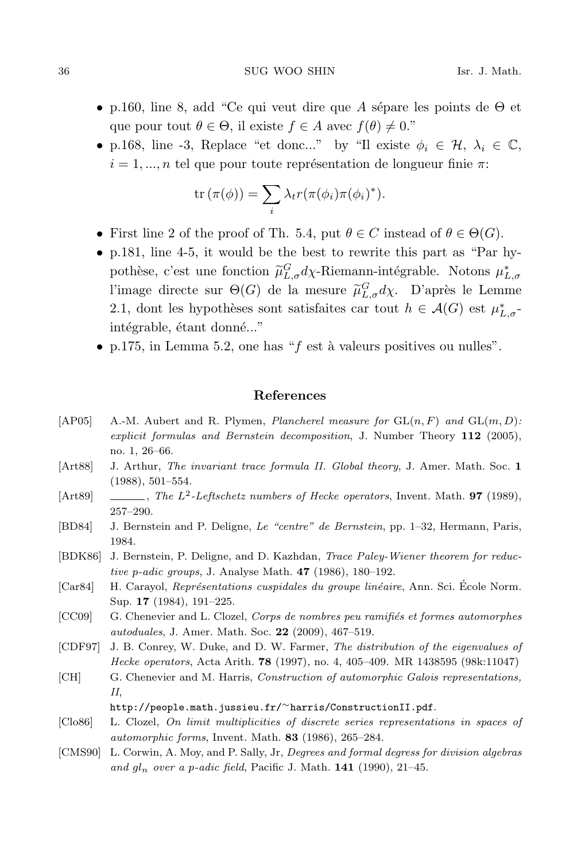- p.160, line 8, add "Ce qui veut dire que A sépare les points de  $\Theta$  et que pour tout  $\theta \in \Theta$ , il existe  $f \in A$  avec  $f(\theta) \neq 0$ ."
- p.168, line -3, Replace "et donc..." by "Il existe  $\phi_i \in \mathcal{H}, \lambda_i \in \mathbb{C}$ ,  $i = 1, ..., n$  tel que pour toute représentation de longueur finie π:

$$
\operatorname{tr}(\pi(\phi)) = \sum_{i} \lambda_t r(\pi(\phi_i)\pi(\phi_i)^*).
$$

- First line 2 of the proof of Th. 5.4, put  $\theta \in C$  instead of  $\theta \in \Theta(G)$ .
- p.181, line 4-5, it would be the best to rewrite this part as "Par hypothèse, c'est une fonction  $\tilde{\mu}^G_{L,\sigma} d\chi$ -Riemann-intégrable. Notons  $\mu^*_{L,\sigma}$ l'image directe sur  $\Theta(G)$  de la mesure  $\tilde{\mu}_{L,\sigma}^G d\chi$ . D'après le Lemme 2.1, dont les hypothèses sont satisfaites car tout  $h \in \mathcal{A}(G)$  est  $\mu_{L,\sigma}^*$ intégrable, étant donné..."
- p.175, in Lemma 5.2, one has " $f$  est à valeurs positives ou nulles".

#### References

- [AP05] A.-M. Aubert and R. Plymen, *Plancherel measure for*  $GL(n, F)$  and  $GL(m, D)$ : explicit formulas and Bernstein decomposition, J. Number Theory 112 (2005), no. 1, 26–66.
- [Art88] J. Arthur, The invariant trace formula II. Global theory, J. Amer. Math. Soc. 1 (1988), 501–554.
- [Art89]  $\qquad \qquad \qquad$ , The L<sup>2</sup>-Leftschetz numbers of Hecke operators, Invent. Math. **97** (1989), 257–290.
- [BD84] J. Bernstein and P. Deligne, Le "centre" de Bernstein, pp. 1–32, Hermann, Paris, 1984.
- [BDK86] J. Bernstein, P. Deligne, and D. Kazhdan, Trace Paley-Wiener theorem for reductive p-adic groups, J. Analyse Math.  $47$  (1986), 180–192.
- [Car84] H. Carayol, Représentations cuspidales du groupe linéaire, Ann. Sci. École Norm. Sup. 17 (1984), 191–225.
- [CC09] G. Chenevier and L. Clozel, Corps de nombres peu ramifiés et formes automorphes autoduales, J. Amer. Math. Soc. 22 (2009), 467–519.
- [CDF97] J. B. Conrey, W. Duke, and D. W. Farmer, The distribution of the eigenvalues of Hecke operators, Acta Arith. 78 (1997), no. 4, 405–409. MR 1438595 (98k:11047)
- [CH] G. Chenevier and M. Harris, Construction of automorphic Galois representations, II, http://people.math.jussieu.fr/∼harris/ConstructionII.pdf.
- [Clo86] L. Clozel, On limit multiplicities of discrete series representations in spaces of automorphic forms, Invent. Math. 83 (1986), 265–284.
- [CMS90] L. Corwin, A. Moy, and P. Sally, Jr, Degrees and formal degress for division algebras and  $q_{n}$  over a p-adic field, Pacific J. Math. 141 (1990), 21–45.